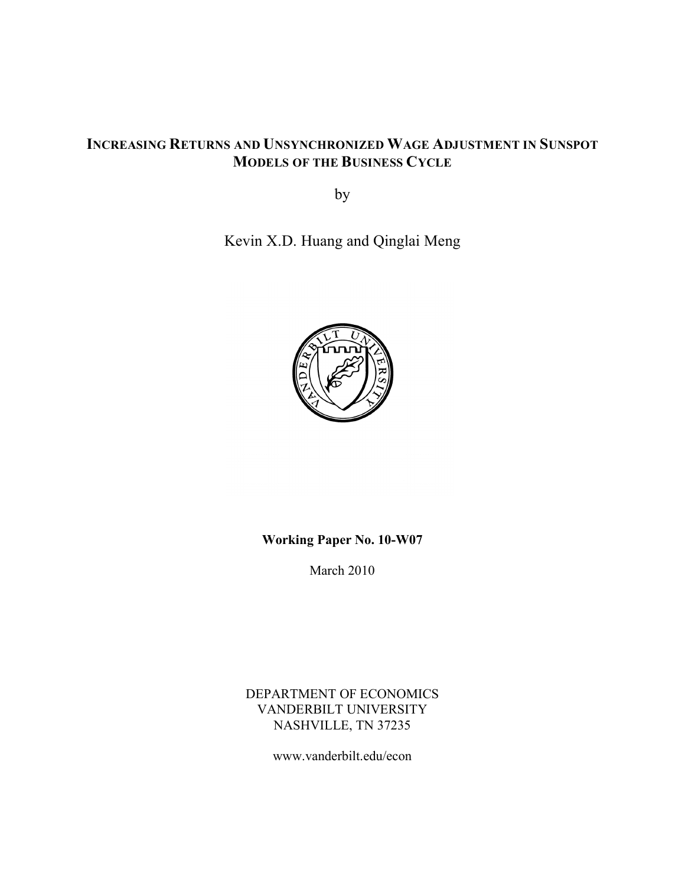# **INCREASING RETURNS AND UNSYNCHRONIZED WAGE ADJUSTMENT IN SUNSPOT MODELS OF THE BUSINESS CYCLE**

by

Kevin X.D. Huang and Qinglai Meng



# **Working Paper No. 10-W07**

March 2010

DEPARTMENT OF ECONOMICS VANDERBILT UNIVERSITY NASHVILLE, TN 37235

www.vanderbilt.edu/econ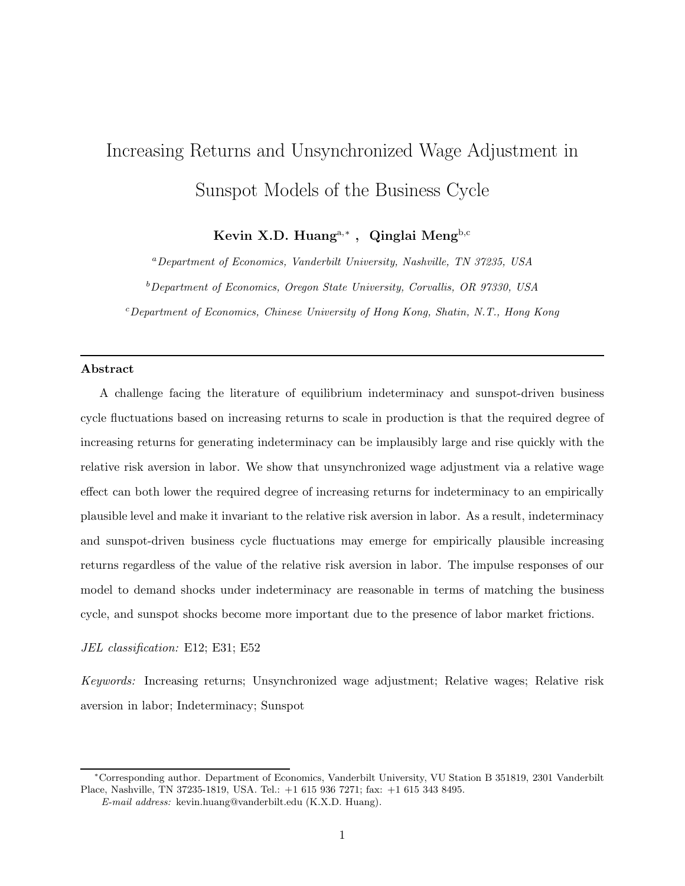# Increasing Returns and Unsynchronized Wage Adjustment in Sunspot Models of the Business Cycle

Kevin X.D. Huang<sup>a,\*</sup>, Qinglai Meng<sup>b,c</sup>

<sup>a</sup>Department of Economics, Vanderbilt University, Nashville, TN 37235, USA

 $b$ Department of Economics, Oregon State University, Corvallis, OR 97330, USA

<sup>c</sup>Department of Economics, Chinese University of Hong Kong, Shatin, N.T., Hong Kong

## Abstract

A challenge facing the literature of equilibrium indeterminacy and sunspot-driven business cycle fluctuations based on increasing returns to scale in production is that the required degree of increasing returns for generating indeterminacy can be implausibly large and rise quickly with the relative risk aversion in labor. We show that unsynchronized wage adjustment via a relative wage effect can both lower the required degree of increasing returns for indeterminacy to an empirically plausible level and make it invariant to the relative risk aversion in labor. As a result, indeterminacy and sunspot-driven business cycle fluctuations may emerge for empirically plausible increasing returns regardless of the value of the relative risk aversion in labor. The impulse responses of our model to demand shocks under indeterminacy are reasonable in terms of matching the business cycle, and sunspot shocks become more important due to the presence of labor market frictions.

JEL classification: E12; E31; E52

Keywords: Increasing returns; Unsynchronized wage adjustment; Relative wages; Relative risk aversion in labor; Indeterminacy; Sunspot

<sup>∗</sup>Corresponding author. Department of Economics, Vanderbilt University, VU Station B 351819, 2301 Vanderbilt Place, Nashville, TN 37235-1819, USA. Tel.: +1 615 936 7271; fax: +1 615 343 8495.

E-mail address: kevin.huang@vanderbilt.edu (K.X.D. Huang).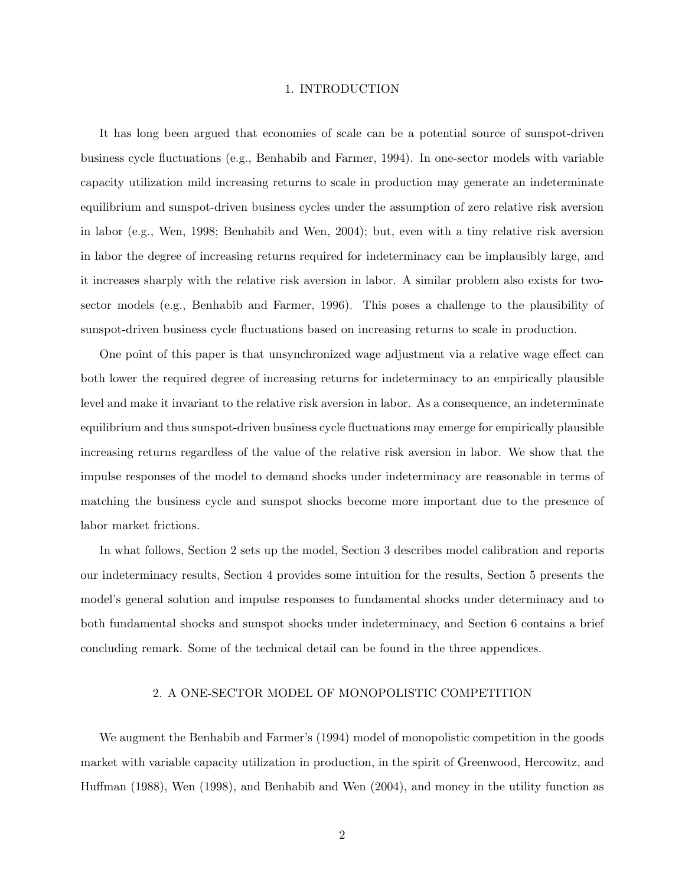#### 1. INTRODUCTION

It has long been argued that economies of scale can be a potential source of sunspot-driven business cycle fluctuations (e.g., Benhabib and Farmer, 1994). In one-sector models with variable capacity utilization mild increasing returns to scale in production may generate an indeterminate equilibrium and sunspot-driven business cycles under the assumption of zero relative risk aversion in labor (e.g., Wen, 1998; Benhabib and Wen, 2004); but, even with a tiny relative risk aversion in labor the degree of increasing returns required for indeterminacy can be implausibly large, and it increases sharply with the relative risk aversion in labor. A similar problem also exists for twosector models (e.g., Benhabib and Farmer, 1996). This poses a challenge to the plausibility of sunspot-driven business cycle fluctuations based on increasing returns to scale in production.

One point of this paper is that unsynchronized wage adjustment via a relative wage effect can both lower the required degree of increasing returns for indeterminacy to an empirically plausible level and make it invariant to the relative risk aversion in labor. As a consequence, an indeterminate equilibrium and thus sunspot-driven business cycle fluctuations may emerge for empirically plausible increasing returns regardless of the value of the relative risk aversion in labor. We show that the impulse responses of the model to demand shocks under indeterminacy are reasonable in terms of matching the business cycle and sunspot shocks become more important due to the presence of labor market frictions.

In what follows, Section 2 sets up the model, Section 3 describes model calibration and reports our indeterminacy results, Section 4 provides some intuition for the results, Section 5 presents the model's general solution and impulse responses to fundamental shocks under determinacy and to both fundamental shocks and sunspot shocks under indeterminacy, and Section 6 contains a brief concluding remark. Some of the technical detail can be found in the three appendices.

#### 2. A ONE-SECTOR MODEL OF MONOPOLISTIC COMPETITION

We augment the Benhabib and Farmer's (1994) model of monopolistic competition in the goods market with variable capacity utilization in production, in the spirit of Greenwood, Hercowitz, and Huffman (1988), Wen (1998), and Benhabib and Wen (2004), and money in the utility function as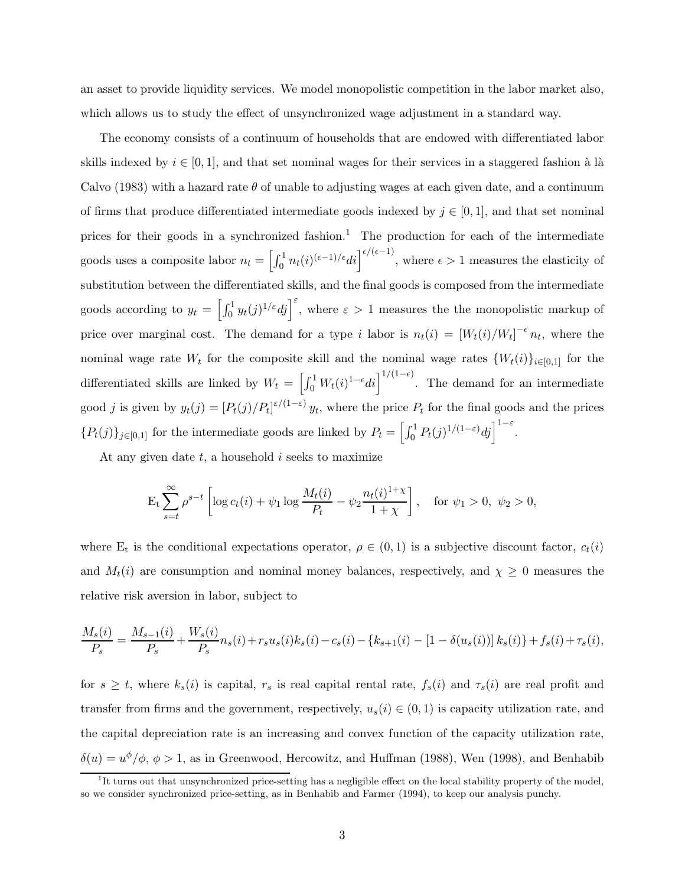an asset to provide liquidity services. We model monopolistic competition in the labor market also, which allows us to study the effect of unsynchronized wage adjustment in a standard way.

The economy consists of a continuum of households that are endowed with differentiated labor skills indexed by  $i \in [0, 1]$ , and that set nominal wages for their services in a staggered fashion à là Calvo (1983) with a hazard rate  $\theta$  of unable to adjusting wages at each given date, and a continuum of firms that produce differentiated intermediate goods indexed by  $j \in [0, 1]$ , and that set nominal prices for their goods in a synchronized fashion.<sup>1</sup> The production for each of the intermediate goods uses a composite labor  $n_t = \left[\int_0^1 n_t(i)^{(\epsilon-1)/\epsilon} di\right]^{\epsilon/(\epsilon-1)}$ , where  $\epsilon > 1$  measures the elasticity of substitution between the differentiated skills, and the final goods is composed from the intermediate goods according to  $y_t = \left[\int_0^1 y_t(j)^{1/\varepsilon}dj\right]^\varepsilon$ , where  $\varepsilon > 1$  measures the the monopolistic markup of price over marginal cost. The demand for a type i labor is  $n_t(i) = [W_t(i)/W_t]^{-\epsilon} n_t$ , where the nominal wage rate  $W_t$  for the composite skill and the nominal wage rates  $\{W_t(i)\}_{i\in[0,1]}$  for the differentiated skills are linked by  $W_t = \left[\int_0^1 W_t(i)^{1-\epsilon}di\right]^{1/(1-\epsilon)}$ . The demand for an intermediate good j is given by  $y_t(j) = [P_t(j)/P_t]^{\varepsilon/(1-\varepsilon)} y_t$ , where the price  $P_t$  for the final goods and the prices  ${P_t(j)}_{j \in [0,1]}$  for the intermediate goods are linked by  $P_t = \left[\int_0^1 P_t(j)^{1/(1-\varepsilon)}dj\right]^{1-\varepsilon}$ .

At any given date  $t$ , a household  $i$  seeks to maximize

$$
\mathcal{E}_{t} \sum_{s=t}^{\infty} \rho^{s-t} \left[ \log c_{t}(i) + \psi_{1} \log \frac{M_{t}(i)}{P_{t}} - \psi_{2} \frac{n_{t}(i)^{1+\chi}}{1+\chi} \right], \text{ for } \psi_{1} > 0, \ \psi_{2} > 0,
$$

where  $E_t$  is the conditional expectations operator,  $\rho \in (0,1)$  is a subjective discount factor,  $c_t(i)$ and  $M_t(i)$  are consumption and nominal money balances, respectively, and  $\chi \geq 0$  measures the relative risk aversion in labor, subject to

$$
\frac{M_s(i)}{P_s} = \frac{M_{s-1}(i)}{P_s} + \frac{W_s(i)}{P_s}n_s(i) + r_s u_s(i)k_s(i) - c_s(i) - \{k_{s+1}(i) - [1 - \delta(u_s(i))]k_s(i)\} + f_s(i) + \tau_s(i),
$$

for  $s \geq t$ , where  $k_s(i)$  is capital,  $r_s$  is real capital rental rate,  $f_s(i)$  and  $\tau_s(i)$  are real profit and transfer from firms and the government, respectively,  $u_s(i) \in (0,1)$  is capacity utilization rate, and the capital depreciation rate is an increasing and convex function of the capacity utilization rate,  $\delta(u) = u^{\phi}/\phi, \phi > 1$ , as in Greenwood, Hercowitz, and Huffman (1988), Wen (1998), and Benhabib

<sup>&</sup>lt;sup>1</sup>It turns out that unsynchronized price-setting has a negligible effect on the local stability property of the model, so we consider synchronized price-setting, as in Benhabib and Farmer (1994), to keep our analysis punchy.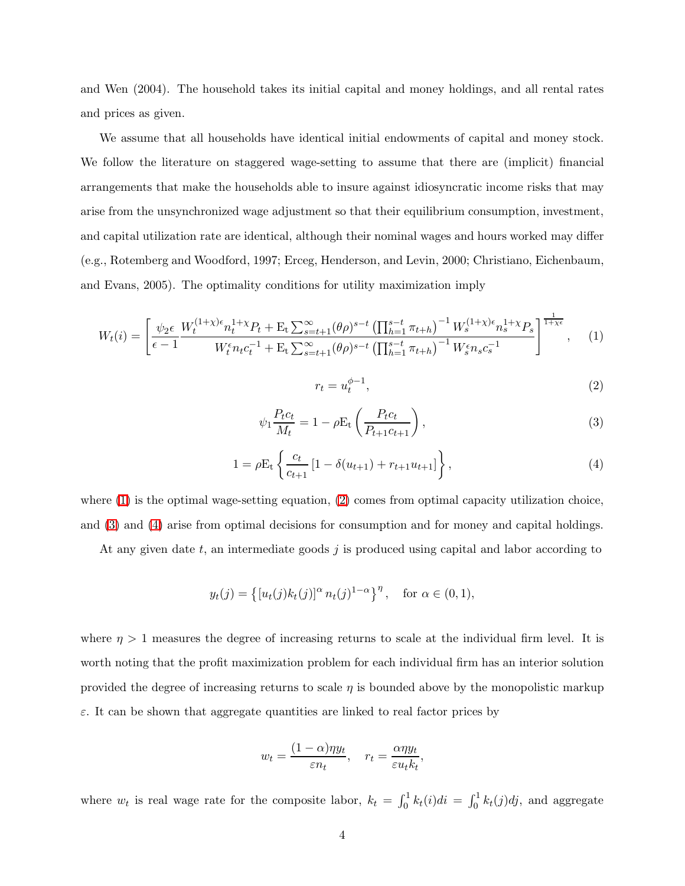and Wen (2004). The household takes its initial capital and money holdings, and all rental rates and prices as given.

We assume that all households have identical initial endowments of capital and money stock. We follow the literature on staggered wage-setting to assume that there are (implicit) financial arrangements that make the households able to insure against idiosyncratic income risks that may arise from the unsynchronized wage adjustment so that their equilibrium consumption, investment, and capital utilization rate are identical, although their nominal wages and hours worked may differ (e.g., Rotemberg and Woodford, 1997; Erceg, Henderson, and Levin, 2000; Christiano, Eichenbaum, and Evans, 2005). The optimality conditions for utility maximization imply

<span id="page-4-0"></span>
$$
W_t(i) = \left[ \frac{\psi_2 \epsilon}{\epsilon - 1} \frac{W_t^{(1+\chi)\epsilon} n_t^{1+\chi} P_t + \mathcal{E}_t \sum_{s=t+1}^{\infty} (\theta \rho)^{s-t} \left( \prod_{h=1}^{s-t} \pi_{t+h} \right)^{-1} W_s^{(1+\chi)\epsilon} n_s^{1+\chi} P_s}{W_t^{\epsilon} n_t c_t^{-1} + \mathcal{E}_t \sum_{s=t+1}^{\infty} (\theta \rho)^{s-t} \left( \prod_{h=1}^{s-t} \pi_{t+h} \right)^{-1} W_s^{\epsilon} n_s c_s^{-1}} \right]^{1 \over 1+\chi\epsilon}, \quad (1)
$$

$$
r_t = u_t^{\phi - 1},\tag{2}
$$

<span id="page-4-1"></span>
$$
\psi_1 \frac{P_t c_t}{M_t} = 1 - \rho E_t \left( \frac{P_t c_t}{P_{t+1} c_{t+1}} \right),\tag{3}
$$

<span id="page-4-3"></span><span id="page-4-2"></span>
$$
1 = \rho E_t \left\{ \frac{c_t}{c_{t+1}} \left[ 1 - \delta(u_{t+1}) + r_{t+1} u_{t+1} \right] \right\},\tag{4}
$$

where  $(1)$  is the optimal wage-setting equation,  $(2)$  comes from optimal capacity utilization choice, and [\(3\)](#page-4-2) and [\(4\)](#page-4-3) arise from optimal decisions for consumption and for money and capital holdings.

At any given date  $t$ , an intermediate goods  $j$  is produced using capital and labor according to

$$
y_t(j) = \{ [u_t(j)k_t(j)]^{\alpha} n_t(j)^{1-\alpha} \}^{\eta}, \text{ for } \alpha \in (0,1),
$$

where  $\eta > 1$  measures the degree of increasing returns to scale at the individual firm level. It is worth noting that the profit maximization problem for each individual firm has an interior solution provided the degree of increasing returns to scale  $\eta$  is bounded above by the monopolistic markup  $\varepsilon$ . It can be shown that aggregate quantities are linked to real factor prices by

$$
w_t = \frac{(1 - \alpha)\eta y_t}{\varepsilon n_t}, \quad r_t = \frac{\alpha \eta y_t}{\varepsilon u_t k_t},
$$

where  $w_t$  is real wage rate for the composite labor,  $k_t = \int_0^1 k_t(i)di = \int_0^1 k_t(j)dj$ , and aggregate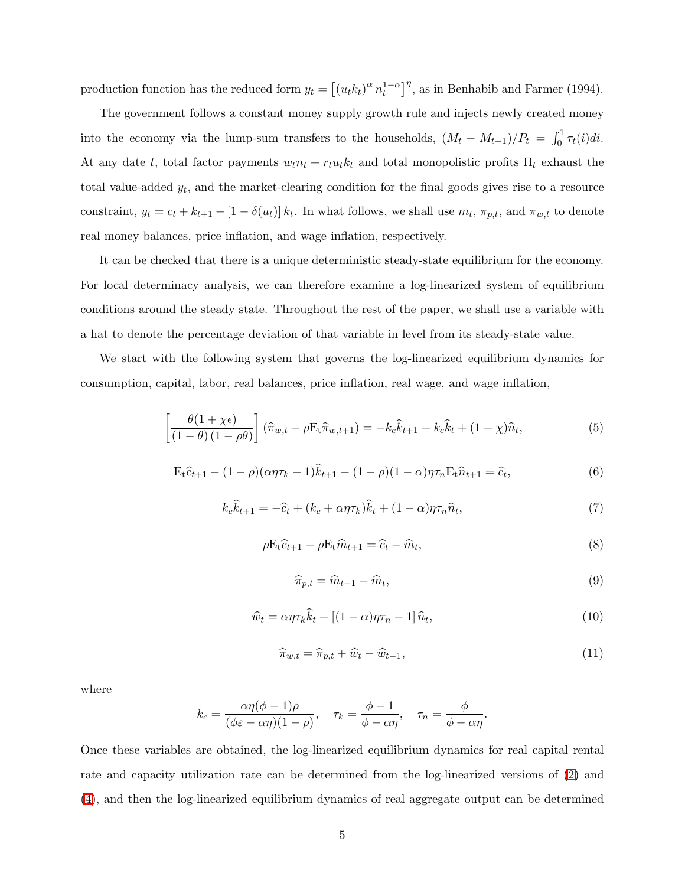production function has the reduced form  $y_t = \left[ (u_t k_t)^{\alpha} n_t^{1-\alpha} \right]^{\eta}$ , as in Benhabib and Farmer (1994).

The government follows a constant money supply growth rule and injects newly created money into the economy via the lump-sum transfers to the households,  $(M_t - M_{t-1})/P_t = \int_0^1 \tau_t(i)di$ . At any date t, total factor payments  $w_t n_t + r_t u_t k_t$  and total monopolistic profits  $\Pi_t$  exhaust the total value-added  $y_t$ , and the market-clearing condition for the final goods gives rise to a resource constraint,  $y_t = c_t + k_{t+1} - [1 - \delta(u_t)] k_t$ . In what follows, we shall use  $m_t$ ,  $\pi_{p,t}$ , and  $\pi_{w,t}$  to denote real money balances, price inflation, and wage inflation, respectively.

It can be checked that there is a unique deterministic steady-state equilibrium for the economy. For local determinacy analysis, we can therefore examine a log-linearized system of equilibrium conditions around the steady state. Throughout the rest of the paper, we shall use a variable with a hat to denote the percentage deviation of that variable in level from its steady-state value.

<span id="page-5-0"></span>We start with the following system that governs the log-linearized equilibrium dynamics for consumption, capital, labor, real balances, price inflation, real wage, and wage inflation,

$$
\left[\frac{\theta(1+\chi\epsilon)}{(1-\theta)(1-\rho\theta)}\right](\widehat{\pi}_{w,t}-\rho E_t\widehat{\pi}_{w,t+1})=-k_c\widehat{k}_{t+1}+k_c\widehat{k}_t+(1+\chi)\widehat{n}_t,
$$
\n(5)

<span id="page-5-6"></span><span id="page-5-2"></span>
$$
E_t \hat{c}_{t+1} - (1 - \rho)(\alpha \eta \tau_k - 1)\hat{k}_{t+1} - (1 - \rho)(1 - \alpha)\eta \tau_n E_t \hat{n}_{t+1} = \hat{c}_t,
$$
\n(6)

<span id="page-5-3"></span>
$$
k_c \hat{k}_{t+1} = -\hat{c}_t + (k_c + \alpha \eta \tau_k) \hat{k}_t + (1 - \alpha) \eta \tau_n \hat{n}_t,\tag{7}
$$

<span id="page-5-4"></span>
$$
\rho \mathbf{E}_t \hat{c}_{t+1} - \rho \mathbf{E}_t \hat{m}_{t+1} = \hat{c}_t - \hat{m}_t,\tag{8}
$$

$$
\widehat{\pi}_{p,t} = \widehat{m}_{t-1} - \widehat{m}_t,\tag{9}
$$

<span id="page-5-5"></span><span id="page-5-1"></span>
$$
\widehat{w}_t = \alpha \eta \tau_k \widehat{k}_t + \left[ (1 - \alpha) \eta \tau_n - 1 \right] \widehat{n}_t,\tag{10}
$$

$$
\widehat{\pi}_{w,t} = \widehat{\pi}_{p,t} + \widehat{w}_t - \widehat{w}_{t-1},\tag{11}
$$

where

$$
k_c = \frac{\alpha \eta(\phi - 1)\rho}{(\phi \varepsilon - \alpha \eta)(1 - \rho)}, \quad \tau_k = \frac{\phi - 1}{\phi - \alpha \eta}, \quad \tau_n = \frac{\phi}{\phi - \alpha \eta}.
$$

Once these variables are obtained, the log-linearized equilibrium dynamics for real capital rental rate and capacity utilization rate can be determined from the log-linearized versions of [\(2\)](#page-4-1) and [\(4\)](#page-4-3), and then the log-linearized equilibrium dynamics of real aggregate output can be determined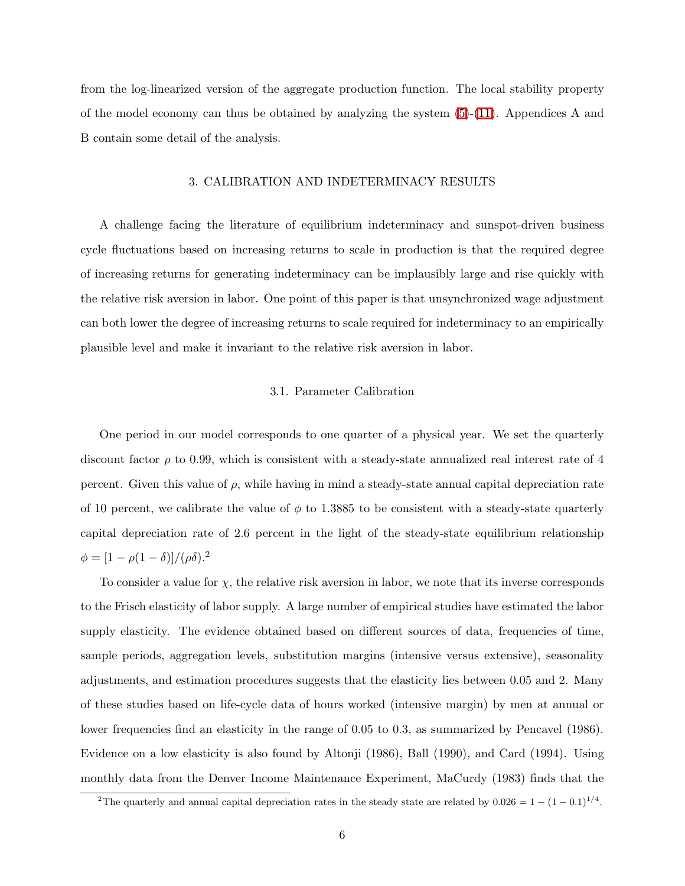from the log-linearized version of the aggregate production function. The local stability property of the model economy can thus be obtained by analyzing the system [\(5\)](#page-5-0)-[\(11\)](#page-5-1). Appendices A and B contain some detail of the analysis.

#### 3. CALIBRATION AND INDETERMINACY RESULTS

A challenge facing the literature of equilibrium indeterminacy and sunspot-driven business cycle fluctuations based on increasing returns to scale in production is that the required degree of increasing returns for generating indeterminacy can be implausibly large and rise quickly with the relative risk aversion in labor. One point of this paper is that unsynchronized wage adjustment can both lower the degree of increasing returns to scale required for indeterminacy to an empirically plausible level and make it invariant to the relative risk aversion in labor.

#### 3.1. Parameter Calibration

One period in our model corresponds to one quarter of a physical year. We set the quarterly discount factor  $\rho$  to 0.99, which is consistent with a steady-state annualized real interest rate of 4 percent. Given this value of  $\rho$ , while having in mind a steady-state annual capital depreciation rate of 10 percent, we calibrate the value of  $\phi$  to 1.3885 to be consistent with a steady-state quarterly capital depreciation rate of 2.6 percent in the light of the steady-state equilibrium relationship  $\phi = [1 - \rho(1 - \delta)]/(\rho \delta).^{2}$ 

To consider a value for  $\chi$ , the relative risk aversion in labor, we note that its inverse corresponds to the Frisch elasticity of labor supply. A large number of empirical studies have estimated the labor supply elasticity. The evidence obtained based on different sources of data, frequencies of time. sample periods, aggregation levels, substitution margins (intensive versus extensive), seasonality adjustments, and estimation procedures suggests that the elasticity lies between 0.05 and 2. Many of these studies based on life-cycle data of hours worked (intensive margin) by men at annual or lower frequencies find an elasticity in the range of 0.05 to 0.3, as summarized by Pencavel (1986). Evidence on a low elasticity is also found by Altonji (1986), Ball (1990), and Card (1994). Using monthly data from the Denver Income Maintenance Experiment, MaCurdy (1983) finds that the

<sup>&</sup>lt;sup>2</sup>The quarterly and annual capital depreciation rates in the steady state are related by  $0.026 = 1 - (1 - 0.1)^{1/4}$ .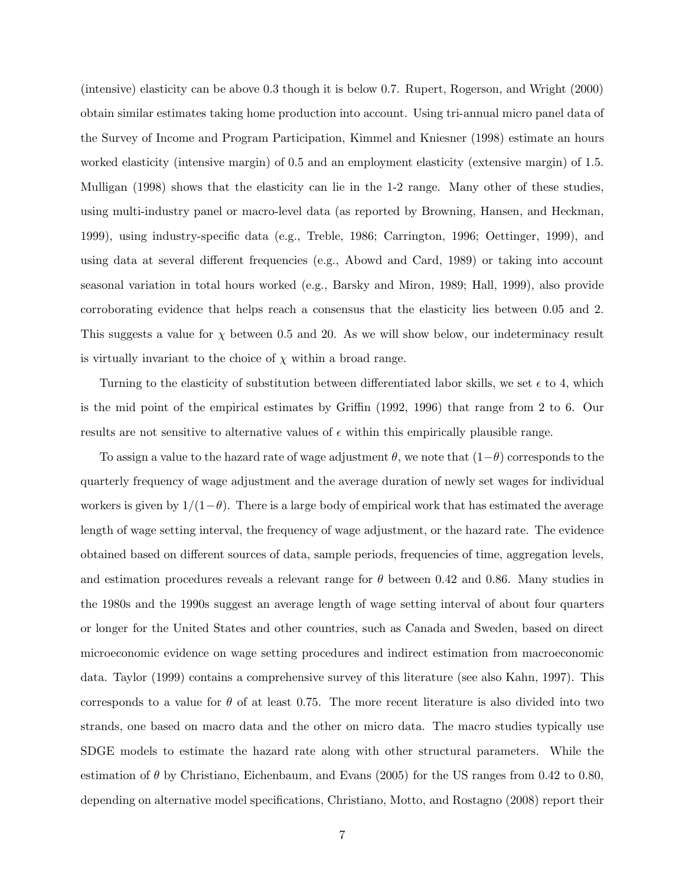(intensive) elasticity can be above 0.3 though it is below 0.7. Rupert, Rogerson, and Wright (2000) obtain similar estimates taking home production into account. Using tri-annual micro panel data of the Survey of Income and Program Participation, Kimmel and Kniesner (1998) estimate an hours worked elasticity (intensive margin) of 0.5 and an employment elasticity (extensive margin) of 1.5. Mulligan (1998) shows that the elasticity can lie in the 1-2 range. Many other of these studies, using multi-industry panel or macro-level data (as reported by Browning, Hansen, and Heckman, 1999), using industry-specific data (e.g., Treble, 1986; Carrington, 1996; Oettinger, 1999), and using data at several different frequencies (e.g., Abowd and Card, 1989) or taking into account seasonal variation in total hours worked (e.g., Barsky and Miron, 1989; Hall, 1999), also provide corroborating evidence that helps reach a consensus that the elasticity lies between 0.05 and 2. This suggests a value for  $\chi$  between 0.5 and 20. As we will show below, our indeterminacy result is virtually invariant to the choice of  $\chi$  within a broad range.

Turning to the elasticity of substitution between differentiated labor skills, we set  $\epsilon$  to 4, which is the mid point of the empirical estimates by Griffin (1992, 1996) that range from 2 to 6. Our results are not sensitive to alternative values of  $\epsilon$  within this empirically plausible range.

To assign a value to the hazard rate of wage adjustment  $\theta$ , we note that  $(1-\theta)$  corresponds to the quarterly frequency of wage adjustment and the average duration of newly set wages for individual workers is given by  $1/(1-\theta)$ . There is a large body of empirical work that has estimated the average length of wage setting interval, the frequency of wage adjustment, or the hazard rate. The evidence obtained based on different sources of data, sample periods, frequencies of time, aggregation levels, and estimation procedures reveals a relevant range for  $\theta$  between 0.42 and 0.86. Many studies in the 1980s and the 1990s suggest an average length of wage setting interval of about four quarters or longer for the United States and other countries, such as Canada and Sweden, based on direct microeconomic evidence on wage setting procedures and indirect estimation from macroeconomic data. Taylor (1999) contains a comprehensive survey of this literature (see also Kahn, 1997). This corresponds to a value for  $\theta$  of at least 0.75. The more recent literature is also divided into two strands, one based on macro data and the other on micro data. The macro studies typically use SDGE models to estimate the hazard rate along with other structural parameters. While the estimation of  $\theta$  by Christiano, Eichenbaum, and Evans (2005) for the US ranges from 0.42 to 0.80, depending on alternative model specifications, Christiano, Motto, and Rostagno (2008) report their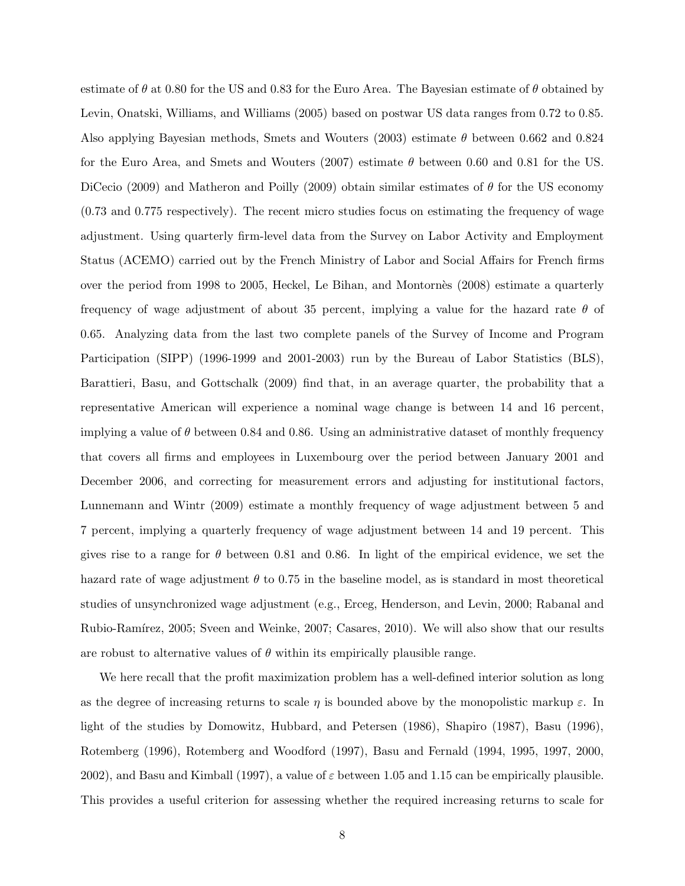estimate of  $\theta$  at 0.80 for the US and 0.83 for the Euro Area. The Bayesian estimate of  $\theta$  obtained by Levin, Onatski, Williams, and Williams (2005) based on postwar US data ranges from 0.72 to 0.85. Also applying Bayesian methods, Smets and Wouters (2003) estimate  $\theta$  between 0.662 and 0.824 for the Euro Area, and Smets and Wouters (2007) estimate  $\theta$  between 0.60 and 0.81 for the US. DiCecio (2009) and Matheron and Poilly (2009) obtain similar estimates of  $\theta$  for the US economy (0.73 and 0.775 respectively). The recent micro studies focus on estimating the frequency of wage adjustment. Using quarterly firm-level data from the Survey on Labor Activity and Employment Status (ACEMO) carried out by the French Ministry of Labor and Social Affairs for French firms over the period from 1998 to 2005, Heckel, Le Bihan, and Montornès (2008) estimate a quarterly frequency of wage adjustment of about 35 percent, implying a value for the hazard rate  $\theta$  of 0.65. Analyzing data from the last two complete panels of the Survey of Income and Program Participation (SIPP) (1996-1999 and 2001-2003) run by the Bureau of Labor Statistics (BLS), Barattieri, Basu, and Gottschalk (2009) find that, in an average quarter, the probability that a representative American will experience a nominal wage change is between 14 and 16 percent, implying a value of  $\theta$  between 0.84 and 0.86. Using an administrative dataset of monthly frequency that covers all firms and employees in Luxembourg over the period between January 2001 and December 2006, and correcting for measurement errors and adjusting for institutional factors, Lunnemann and Wintr (2009) estimate a monthly frequency of wage adjustment between 5 and 7 percent, implying a quarterly frequency of wage adjustment between 14 and 19 percent. This gives rise to a range for  $\theta$  between 0.81 and 0.86. In light of the empirical evidence, we set the hazard rate of wage adjustment  $\theta$  to 0.75 in the baseline model, as is standard in most theoretical studies of unsynchronized wage adjustment (e.g., Erceg, Henderson, and Levin, 2000; Rabanal and Rubio-Ramírez, 2005; Sveen and Weinke, 2007; Casares, 2010). We will also show that our results are robust to alternative values of  $\theta$  within its empirically plausible range.

We here recall that the profit maximization problem has a well-defined interior solution as long as the degree of increasing returns to scale  $\eta$  is bounded above by the monopolistic markup  $\varepsilon$ . In light of the studies by Domowitz, Hubbard, and Petersen (1986), Shapiro (1987), Basu (1996), Rotemberg (1996), Rotemberg and Woodford (1997), Basu and Fernald (1994, 1995, 1997, 2000, 2002), and Basu and Kimball (1997), a value of  $\varepsilon$  between 1.05 and 1.15 can be empirically plausible. This provides a useful criterion for assessing whether the required increasing returns to scale for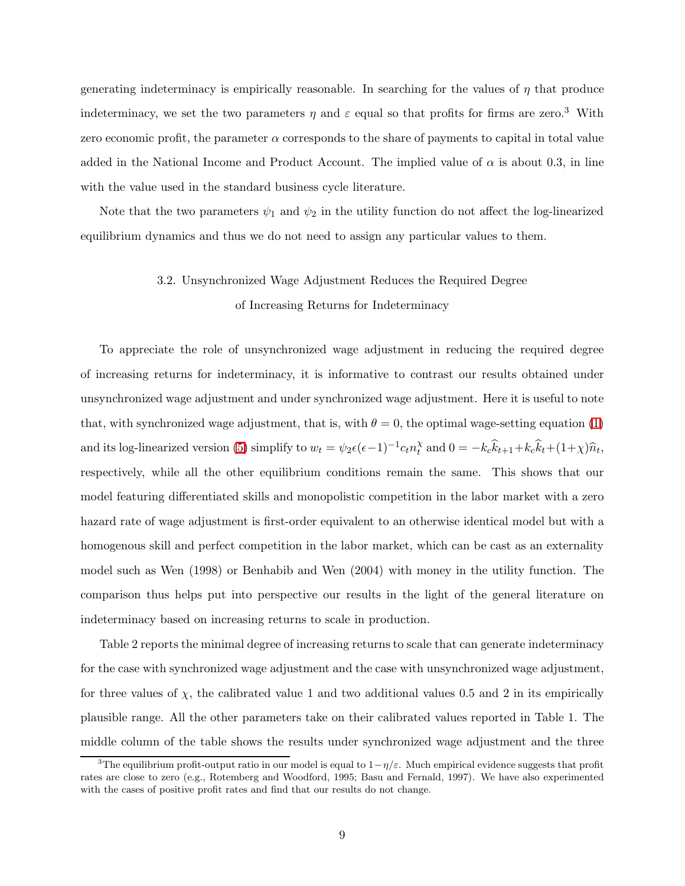generating indeterminacy is empirically reasonable. In searching for the values of  $\eta$  that produce indeterminacy, we set the two parameters  $\eta$  and  $\varepsilon$  equal so that profits for firms are zero.<sup>3</sup> With zero economic profit, the parameter  $\alpha$  corresponds to the share of payments to capital in total value added in the National Income and Product Account. The implied value of  $\alpha$  is about 0.3, in line with the value used in the standard business cycle literature.

Note that the two parameters  $\psi_1$  and  $\psi_2$  in the utility function do not affect the log-linearized equilibrium dynamics and thus we do not need to assign any particular values to them.

# 3.2. Unsynchronized Wage Adjustment Reduces the Required Degree of Increasing Returns for Indeterminacy

To appreciate the role of unsynchronized wage adjustment in reducing the required degree of increasing returns for indeterminacy, it is informative to contrast our results obtained under unsynchronized wage adjustment and under synchronized wage adjustment. Here it is useful to note that, with synchronized wage adjustment, that is, with  $\theta = 0$ , the optimal wage-setting equation [\(1\)](#page-4-0) and its log-linearized version [\(5\)](#page-5-0) simplify to  $w_t = \psi_2 \epsilon (\epsilon - 1)^{-1} c_t n_t^{\chi}$  $\chi_t^{\chi}$  and  $0 = -k_c k_{t+1} + k_c k_t + (1 + \chi) \hat{n}_t$ , respectively, while all the other equilibrium conditions remain the same. This shows that our model featuring differentiated skills and monopolistic competition in the labor market with a zero hazard rate of wage adjustment is first-order equivalent to an otherwise identical model but with a homogenous skill and perfect competition in the labor market, which can be cast as an externality model such as Wen (1998) or Benhabib and Wen (2004) with money in the utility function. The comparison thus helps put into perspective our results in the light of the general literature on indeterminacy based on increasing returns to scale in production.

Table 2 reports the minimal degree of increasing returns to scale that can generate indeterminacy for the case with synchronized wage adjustment and the case with unsynchronized wage adjustment, for three values of  $\chi$ , the calibrated value 1 and two additional values 0.5 and 2 in its empirically plausible range. All the other parameters take on their calibrated values reported in Table 1. The middle column of the table shows the results under synchronized wage adjustment and the three

<sup>&</sup>lt;sup>3</sup>The equilibrium profit-output ratio in our model is equal to  $1-\eta/\varepsilon$ . Much empirical evidence suggests that profit rates are close to zero (e.g., Rotemberg and Woodford, 1995; Basu and Fernald, 1997). We have also experimented with the cases of positive profit rates and find that our results do not change.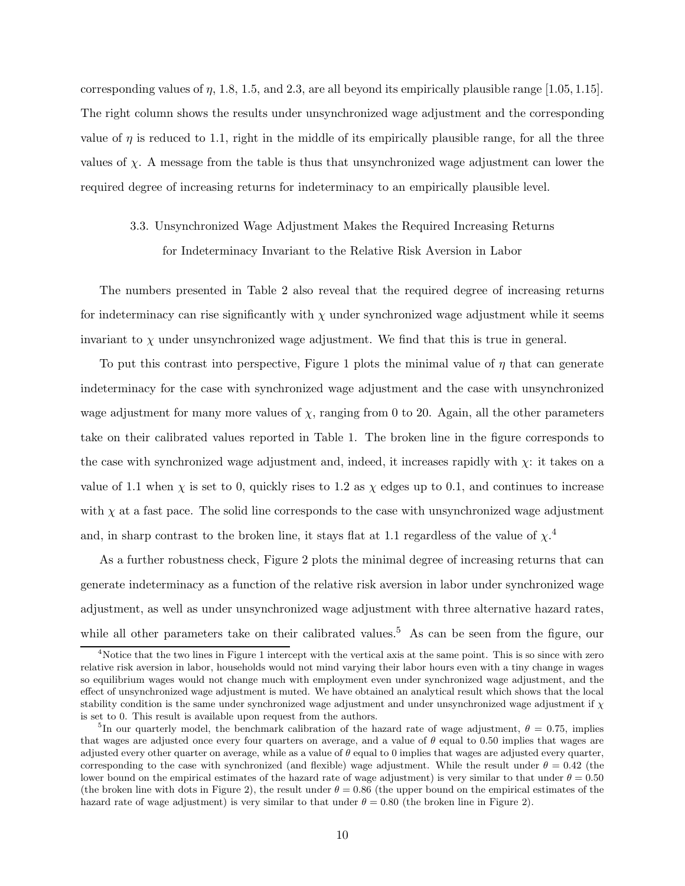corresponding values of  $\eta$ , 1.8, 1.5, and 2.3, are all beyond its empirically plausible range [1.05, 1.15]. The right column shows the results under unsynchronized wage adjustment and the corresponding value of  $\eta$  is reduced to 1.1, right in the middle of its empirically plausible range, for all the three values of  $\chi$ . A message from the table is thus that unsynchronized wage adjustment can lower the required degree of increasing returns for indeterminacy to an empirically plausible level.

# 3.3. Unsynchronized Wage Adjustment Makes the Required Increasing Returns for Indeterminacy Invariant to the Relative Risk Aversion in Labor

The numbers presented in Table 2 also reveal that the required degree of increasing returns for indeterminacy can rise significantly with  $\chi$  under synchronized wage adjustment while it seems invariant to  $\chi$  under unsynchronized wage adjustment. We find that this is true in general.

To put this contrast into perspective, Figure 1 plots the minimal value of  $\eta$  that can generate indeterminacy for the case with synchronized wage adjustment and the case with unsynchronized wage adjustment for many more values of  $\chi$ , ranging from 0 to 20. Again, all the other parameters take on their calibrated values reported in Table 1. The broken line in the figure corresponds to the case with synchronized wage adjustment and, indeed, it increases rapidly with  $\chi$ : it takes on a value of 1.1 when  $\chi$  is set to 0, quickly rises to 1.2 as  $\chi$  edges up to 0.1, and continues to increase with  $\chi$  at a fast pace. The solid line corresponds to the case with unsynchronized wage adjustment and, in sharp contrast to the broken line, it stays flat at 1.1 regardless of the value of  $\chi$ <sup>4</sup>

As a further robustness check, Figure 2 plots the minimal degree of increasing returns that can generate indeterminacy as a function of the relative risk aversion in labor under synchronized wage adjustment, as well as under unsynchronized wage adjustment with three alternative hazard rates, while all other parameters take on their calibrated values.<sup>5</sup> As can be seen from the figure, our

<sup>&</sup>lt;sup>4</sup>Notice that the two lines in Figure 1 intercept with the vertical axis at the same point. This is so since with zero relative risk aversion in labor, households would not mind varying their labor hours even with a tiny change in wages so equilibrium wages would not change much with employment even under synchronized wage adjustment, and the effect of unsynchronized wage adjustment is muted. We have obtained an analytical result which shows that the local stability condition is the same under synchronized wage adjustment and under unsynchronized wage adjustment if  $\chi$ is set to 0. This result is available upon request from the authors.

<sup>&</sup>lt;sup>5</sup>In our quarterly model, the benchmark calibration of the hazard rate of wage adjustment,  $\theta = 0.75$ , implies that wages are adjusted once every four quarters on average, and a value of  $\theta$  equal to 0.50 implies that wages are adjusted every other quarter on average, while as a value of  $\theta$  equal to 0 implies that wages are adjusted every quarter, corresponding to the case with synchronized (and flexible) wage adjustment. While the result under  $\theta = 0.42$  (the lower bound on the empirical estimates of the hazard rate of wage adjustment) is very similar to that under  $\theta = 0.50$ (the broken line with dots in Figure 2), the result under  $\theta = 0.86$  (the upper bound on the empirical estimates of the hazard rate of wage adjustment) is very similar to that under  $\theta = 0.80$  (the broken line in Figure 2).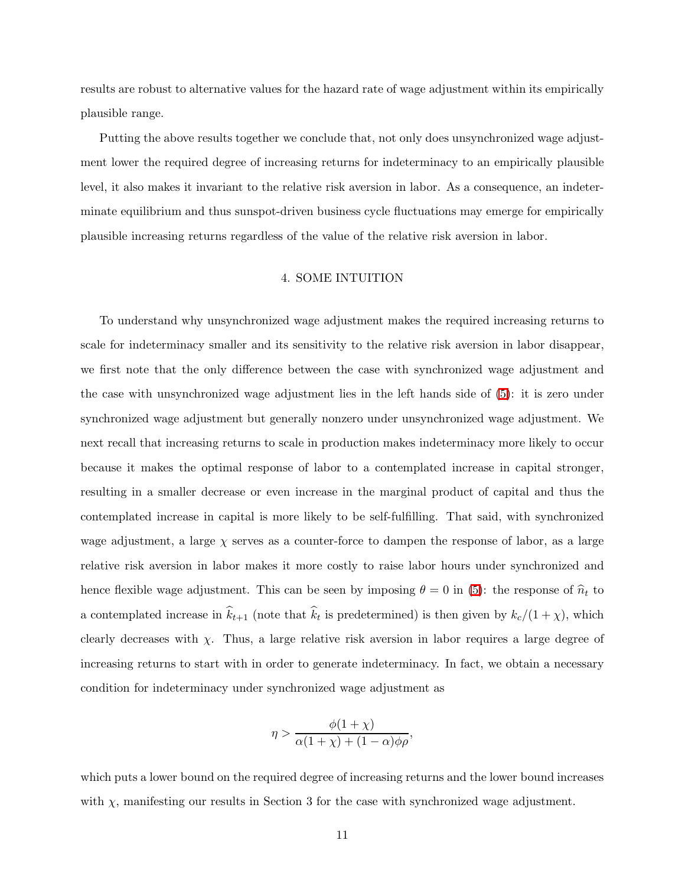results are robust to alternative values for the hazard rate of wage adjustment within its empirically plausible range.

Putting the above results together we conclude that, not only does unsynchronized wage adjustment lower the required degree of increasing returns for indeterminacy to an empirically plausible level, it also makes it invariant to the relative risk aversion in labor. As a consequence, an indeterminate equilibrium and thus sunspot-driven business cycle fluctuations may emerge for empirically plausible increasing returns regardless of the value of the relative risk aversion in labor.

## 4. SOME INTUITION

To understand why unsynchronized wage adjustment makes the required increasing returns to scale for indeterminacy smaller and its sensitivity to the relative risk aversion in labor disappear, we first note that the only difference between the case with synchronized wage adjustment and the case with unsynchronized wage adjustment lies in the left hands side of [\(5\)](#page-5-0): it is zero under synchronized wage adjustment but generally nonzero under unsynchronized wage adjustment. We next recall that increasing returns to scale in production makes indeterminacy more likely to occur because it makes the optimal response of labor to a contemplated increase in capital stronger, resulting in a smaller decrease or even increase in the marginal product of capital and thus the contemplated increase in capital is more likely to be self-fulfilling. That said, with synchronized wage adjustment, a large  $\chi$  serves as a counter-force to dampen the response of labor, as a large relative risk aversion in labor makes it more costly to raise labor hours under synchronized and hence flexible wage adjustment. This can be seen by imposing  $\theta = 0$  in [\(5\)](#page-5-0): the response of  $\hat{n}_t$  to a contemplated increase in  $k_{t+1}$  (note that  $k_t$  is predetermined) is then given by  $k_c/(1+\chi)$ , which clearly decreases with  $\chi$ . Thus, a large relative risk aversion in labor requires a large degree of increasing returns to start with in order to generate indeterminacy. In fact, we obtain a necessary condition for indeterminacy under synchronized wage adjustment as

$$
\eta > \frac{\phi(1+\chi)}{\alpha(1+\chi) + (1-\alpha)\phi\rho},
$$

which puts a lower bound on the required degree of increasing returns and the lower bound increases with  $\chi$ , manifesting our results in Section 3 for the case with synchronized wage adjustment.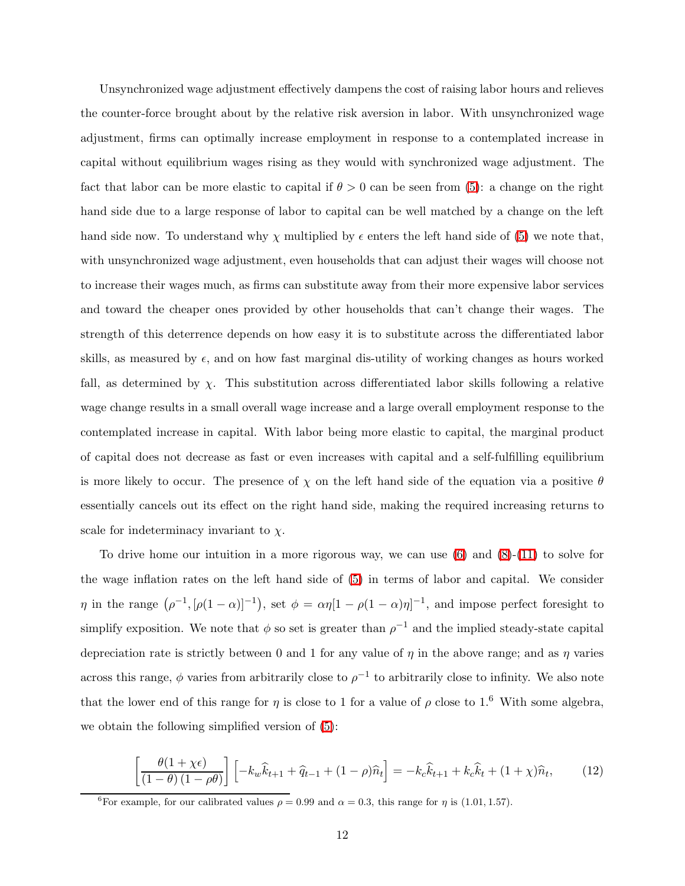Unsynchronized wage adjustment effectively dampens the cost of raising labor hours and relieves the counter-force brought about by the relative risk aversion in labor. With unsynchronized wage adjustment, firms can optimally increase employment in response to a contemplated increase in capital without equilibrium wages rising as they would with synchronized wage adjustment. The fact that labor can be more elastic to capital if  $\theta > 0$  can be seen from [\(5\)](#page-5-0): a change on the right hand side due to a large response of labor to capital can be well matched by a change on the left hand side now. To understand why  $\chi$  multiplied by  $\epsilon$  enters the left hand side of [\(5\)](#page-5-0) we note that, with unsynchronized wage adjustment, even households that can adjust their wages will choose not to increase their wages much, as firms can substitute away from their more expensive labor services and toward the cheaper ones provided by other households that can't change their wages. The strength of this deterrence depends on how easy it is to substitute across the differentiated labor skills, as measured by  $\epsilon$ , and on how fast marginal dis-utility of working changes as hours worked fall, as determined by  $\chi$ . This substitution across differentiated labor skills following a relative wage change results in a small overall wage increase and a large overall employment response to the contemplated increase in capital. With labor being more elastic to capital, the marginal product of capital does not decrease as fast or even increases with capital and a self-fulfilling equilibrium is more likely to occur. The presence of  $\chi$  on the left hand side of the equation via a positive  $\theta$ essentially cancels out its effect on the right hand side, making the required increasing returns to scale for indeterminacy invariant to  $\chi$ .

To drive home our intuition in a more rigorous way, we can use  $(6)$  and  $(8)-(11)$  $(8)-(11)$  to solve for the wage inflation rates on the left hand side of [\(5\)](#page-5-0) in terms of labor and capital. We consider  $\eta$  in the range  $(\rho^{-1}, [\rho(1-\alpha)]^{-1})$ , set  $\phi = \alpha \eta [1 - \rho(1-\alpha)\eta]^{-1}$ , and impose perfect foresight to simplify exposition. We note that  $\phi$  so set is greater than  $\rho^{-1}$  and the implied steady-state capital depreciation rate is strictly between 0 and 1 for any value of  $\eta$  in the above range; and as  $\eta$  varies across this range,  $\phi$  varies from arbitrarily close to  $\rho^{-1}$  to arbitrarily close to infinity. We also note that the lower end of this range for  $\eta$  is close to 1 for a value of  $\rho$  close to 1.<sup>6</sup> With some algebra, we obtain the following simplified version of [\(5\)](#page-5-0):

$$
\left[\frac{\theta(1+\chi\epsilon)}{(1-\theta)(1-\rho\theta)}\right] \left[-k_w\hat{k}_{t+1} + \hat{q}_{t-1} + (1-\rho)\hat{n}_t\right] = -k_c\hat{k}_{t+1} + k_c\hat{k}_t + (1+\chi)\hat{n}_t,\tag{12}
$$

<span id="page-12-0"></span><sup>&</sup>lt;sup>6</sup>For example, for our calibrated values  $\rho = 0.99$  and  $\alpha = 0.3$ , this range for  $\eta$  is (1.01, 1.57).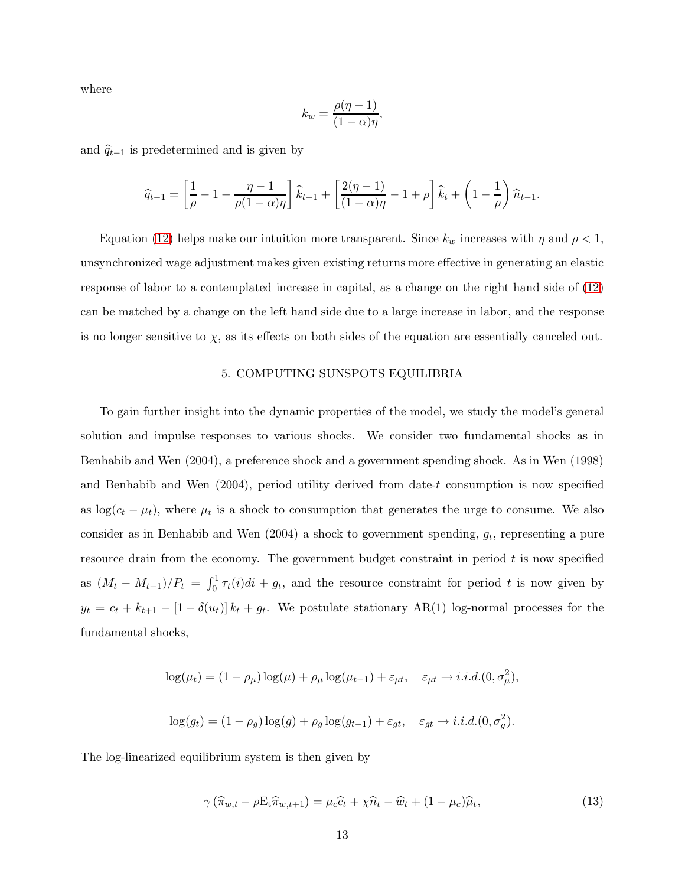where

$$
k_w = \frac{\rho(\eta - 1)}{(1 - \alpha)\eta},
$$

and  $\hat{q}_{t-1}$  is predetermined and is given by

$$
\widehat{q}_{t-1} = \left[\frac{1}{\rho} - 1 - \frac{\eta - 1}{\rho(1 - \alpha)\eta}\right] \widehat{k}_{t-1} + \left[\frac{2(\eta - 1)}{(1 - \alpha)\eta} - 1 + \rho\right] \widehat{k}_{t} + \left(1 - \frac{1}{\rho}\right) \widehat{n}_{t-1}.
$$

Equation [\(12\)](#page-12-0) helps make our intuition more transparent. Since  $k_w$  increases with  $\eta$  and  $\rho < 1$ , unsynchronized wage adjustment makes given existing returns more effective in generating an elastic response of labor to a contemplated increase in capital, as a change on the right hand side of [\(12\)](#page-12-0) can be matched by a change on the left hand side due to a large increase in labor, and the response is no longer sensitive to  $\chi$ , as its effects on both sides of the equation are essentially canceled out.

#### 5. COMPUTING SUNSPOTS EQUILIBRIA

To gain further insight into the dynamic properties of the model, we study the model's general solution and impulse responses to various shocks. We consider two fundamental shocks as in Benhabib and Wen (2004), a preference shock and a government spending shock. As in Wen (1998) and Benhabib and Wen (2004), period utility derived from date-t consumption is now specified as  $\log(c_t - \mu_t)$ , where  $\mu_t$  is a shock to consumption that generates the urge to consume. We also consider as in Benhabib and Wen  $(2004)$  a shock to government spending,  $g_t$ , representing a pure resource drain from the economy. The government budget constraint in period  $t$  is now specified as  $(M_t - M_{t-1})/P_t = \int_0^1 \tau_t(i)di + g_t$ , and the resource constraint for period t is now given by  $y_t = c_t + k_{t+1} - [1 - \delta(u_t)] k_t + g_t$ . We postulate stationary AR(1) log-normal processes for the fundamental shocks,

$$
\log(\mu_t) = (1 - \rho_\mu) \log(\mu) + \rho_\mu \log(\mu_{t-1}) + \varepsilon_{\mu t}, \quad \varepsilon_{\mu t} \to i.i.d. (0, \sigma_\mu^2),
$$
  

$$
\log(g_t) = (1 - \rho_g) \log(g) + \rho_g \log(g_{t-1}) + \varepsilon_{gt}, \quad \varepsilon_{gt} \to i.i.d. (0, \sigma_g^2).
$$

The log-linearized equilibrium system is then given by

$$
\gamma\left(\widehat{\pi}_{w,t} - \rho \mathcal{E}_t \widehat{\pi}_{w,t+1}\right) = \mu_c \widehat{c}_t + \chi \widehat{n}_t - \widehat{w}_t + (1 - \mu_c) \widehat{\mu}_t,\tag{13}
$$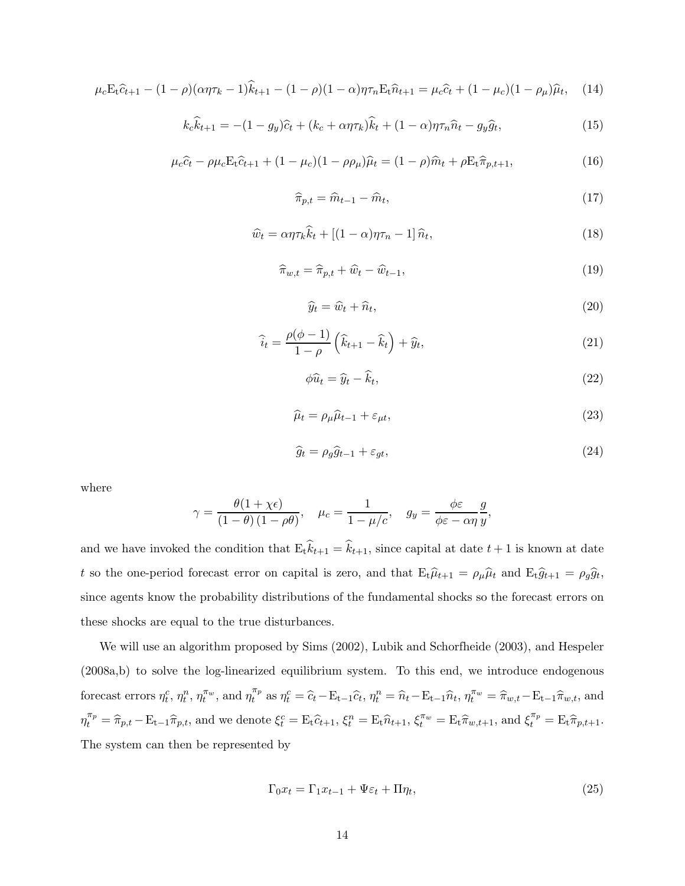$$
\mu_c \mathbf{E}_t \hat{c}_{t+1} - (1 - \rho)(\alpha \eta \tau_k - 1)\hat{k}_{t+1} - (1 - \rho)(1 - \alpha)\eta \tau_n \mathbf{E}_t \hat{n}_{t+1} = \mu_c \hat{c}_t + (1 - \mu_c)(1 - \rho_\mu)\hat{\mu}_t, \quad (14)
$$

$$
k_c \hat{k}_{t+1} = -(1 - g_y)\hat{c}_t + (k_c + \alpha \eta \tau_k)\hat{k}_t + (1 - \alpha)\eta \tau_n \hat{n}_t - g_y \hat{g}_t,
$$
\n(15)

$$
\mu_c \hat{c}_t - \rho \mu_c E_t \hat{c}_{t+1} + (1 - \mu_c)(1 - \rho \rho_\mu) \hat{\mu}_t = (1 - \rho) \hat{m}_t + \rho E_t \hat{\pi}_{p, t+1},
$$
(16)

$$
\widehat{\pi}_{p,t} = \widehat{m}_{t-1} - \widehat{m}_t,\tag{17}
$$

$$
\widehat{w}_t = \alpha \eta \tau_k \widehat{k}_t + \left[ (1 - \alpha) \eta \tau_n - 1 \right] \widehat{n}_t,\tag{18}
$$

$$
\widehat{\pi}_{w,t} = \widehat{\pi}_{p,t} + \widehat{w}_t - \widehat{w}_{t-1},\tag{19}
$$

$$
\widehat{y}_t = \widehat{w}_t + \widehat{n}_t,\tag{20}
$$

$$
\widehat{i}_t = \frac{\rho(\phi - 1)}{1 - \rho} \left( \widehat{k}_{t+1} - \widehat{k}_t \right) + \widehat{y}_t, \tag{21}
$$

$$
\phi \widehat{u}_t = \widehat{y}_t - \widehat{k}_t,\tag{22}
$$

$$
\widehat{\mu}_t = \rho_\mu \widehat{\mu}_{t-1} + \varepsilon_{\mu t},\tag{23}
$$

$$
\widehat{g}_t = \rho_g \widehat{g}_{t-1} + \varepsilon_{gt},\tag{24}
$$

where

$$
\gamma = \frac{\theta(1 + \chi \epsilon)}{(1 - \theta)(1 - \rho \theta)}, \quad \mu_c = \frac{1}{1 - \mu/c}, \quad g_y = \frac{\phi \epsilon}{\phi \epsilon - \alpha \eta} \frac{g}{y},
$$

and we have invoked the condition that  $E_t k_{t+1} = k_{t+1}$ , since capital at date  $t+1$  is known at date t so the one-period forecast error on capital is zero, and that  $E_t\hat{\mu}_{t+1} = \rho_\mu\hat{\mu}_t$  and  $E_t\hat{g}_{t+1} = \rho_g\hat{g}_t$ , since agents know the probability distributions of the fundamental shocks so the forecast errors on these shocks are equal to the true disturbances.

We will use an algorithm proposed by Sims (2002), Lubik and Schorfheide (2003), and Hespeler (2008a,b) to solve the log-linearized equilibrium system. To this end, we introduce endogenous forecast errors  $\eta_t^c$ ,  $\eta_t^n$ ,  $\eta_t^{\pi_w}$ , and  $\eta_t^{\pi_p}$  $\hat{\tau}_t^{\pi_p}$  as  $\eta_t^c = \hat{c}_t - \mathbf{E}_{t-1}\hat{c}_t$ ,  $\eta_t^n = \hat{n}_t - \mathbf{E}_{t-1}\hat{n}_t$ ,  $\eta_t^{\pi_w} = \hat{\pi}_{w,t} - \mathbf{E}_{t-1}\hat{\pi}_{w,t}$ , and  $\eta_t^{\pi_p} = \hat{\pi}_{p,t} - \mathbf{E}_{t-1}\hat{\pi}_{p,t}$ , and we denote  $\xi_t^c = \mathbf{E}_t\hat{c}_{t+1}, \xi_t^n = \mathbf{E}_t\hat{n}_{t+1}, \xi_t^{\pi_w} = \mathbf{E}_t\hat{\pi}_{w,t+1}$ , and  $\xi_t^{\pi_p} = \mathbf{E}_t\hat{\pi}_{p,t+1}$ . The system can then be represented by

<span id="page-14-0"></span>
$$
\Gamma_0 x_t = \Gamma_1 x_{t-1} + \Psi \varepsilon_t + \Pi \eta_t,\tag{25}
$$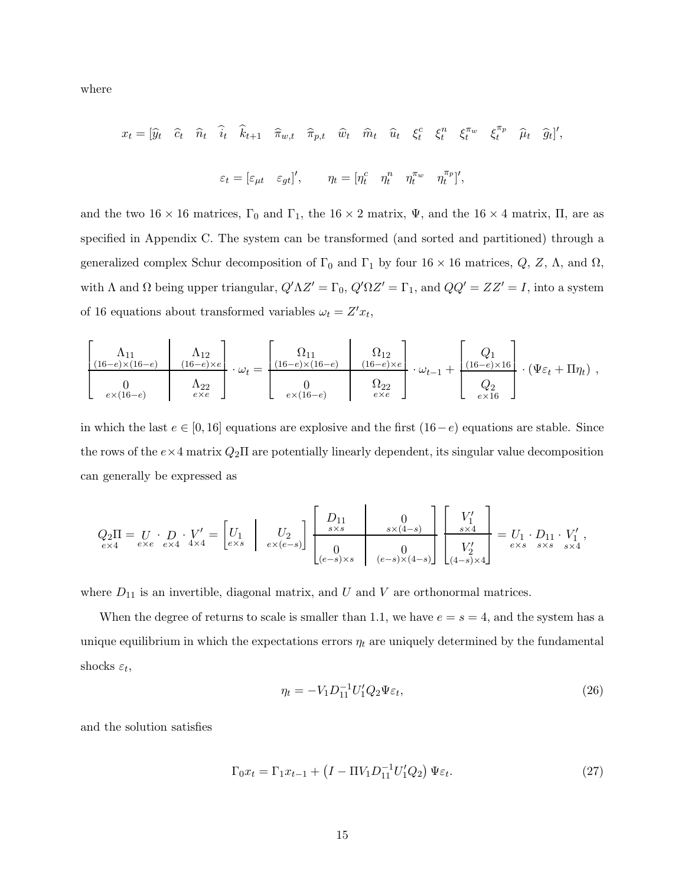where

$$
x_t = [\widehat{y}_t \quad \widehat{c}_t \quad \widehat{n}_t \quad \widehat{i}_t \quad \widehat{k}_{t+1} \quad \widehat{\pi}_{w,t} \quad \widehat{\pi}_{p,t} \quad \widehat{w}_t \quad \widehat{m}_t \quad \widehat{u}_t \quad \xi_t^c \quad \xi_t^n \quad \xi_t^{\pi_w} \quad \xi_t^{\pi_p} \quad \widehat{\mu}_t \quad \widehat{g}_t],
$$

$$
\varepsilon_t = [\varepsilon_{\mu t} \quad \varepsilon_{gt}]', \qquad \eta_t = [\eta_t^c \quad \eta_t^n \quad \eta_t^{\pi_w} \quad \eta_t^{\pi_p} ]',
$$

and the two 16 × 16 matrices,  $\Gamma_0$  and  $\Gamma_1$ , the 16 × 2 matrix,  $\Psi$ , and the 16 × 4 matrix,  $\Pi$ , are as specified in Appendix C. The system can be transformed (and sorted and partitioned) through a generalized complex Schur decomposition of  $\Gamma_0$  and  $\Gamma_1$  by four 16 × 16 matrices,  $Q$ , Z,  $\Lambda$ , and  $\Omega$ , with  $\Lambda$  and  $\Omega$  being upper triangular,  $Q'\Lambda Z' = \Gamma_0$ ,  $Q'\Omega Z' = \Gamma_1$ , and  $QQ' = ZZ' = I$ , into a system of 16 equations about transformed variables  $\omega_t = Z'x_t$ ,

$$
\begin{bmatrix}\n\Lambda_{11} & \Lambda_{12} \\
\frac{(16-e)\times(16-e)}{0} & \frac{(16-e)\times e}{2e} \\
\hline\n\epsilon_{12} & \epsilon_{13} & \epsilon_{14} \\
\hline\n\epsilon_{21} & \epsilon_{22} & e\n\end{bmatrix}\n\cdot \omega_t = \begin{bmatrix}\n\Omega_{11} & \Omega_{12} \\
\frac{(16-e)\times(16-e)}{0} & \frac{(16-e)\times e}{2e} \\
\hline\n\epsilon_{21} & \epsilon_{22} & e\n\end{bmatrix}\n\cdot \omega_{t-1} + \begin{bmatrix}\nQ_1 \\
\frac{(16-e)\times 16}{0} \\
\hline\n\epsilon_{22} \\
\hline\n\epsilon_{13} & \epsilon_{14} \\
\hline\n\epsilon_{24} & e\n\end{bmatrix}\n\cdot (\Psi \varepsilon_t + \Pi \eta_t) ,
$$

in which the last  $e \in [0, 16]$  equations are explosive and the first  $(16-e)$  equations are stable. Since the rows of the  $e \times 4$  matrix  $Q_2\Pi$  are potentially linearly dependent, its singular value decomposition can generally be expressed as

$$
Q_2\Pi = \underset{e\times 4}{U} \cdot \underset{e\times e}{D} \cdot V' = \begin{bmatrix} U_1 \\ e\times s \end{bmatrix} \begin{bmatrix} U_2 \\ e\times (e-s) \end{bmatrix} \begin{bmatrix} D_{11} & 0 \\ s\times s & s\times (4-s) \\ 0 \\ (e-s)\times s & (e-s)\times (4-s) \end{bmatrix} \begin{bmatrix} V'_1 \\ s\times 4 \\ V'_2 \\ (4-s)\times 4 \end{bmatrix} = \underset{e\times s}{U}_1 \cdot \underset{s\times s}{D}_{11} \cdot V'_1,
$$

where  $D_{11}$  is an invertible, diagonal matrix, and U and V are orthonormal matrices.

When the degree of returns to scale is smaller than 1.1, we have  $e = s = 4$ , and the system has a unique equilibrium in which the expectations errors  $\eta_t$  are uniquely determined by the fundamental shocks  $\varepsilon_t$ ,

$$
\eta_t = -V_1 D_{11}^{-1} U_1' Q_2 \Psi \varepsilon_t,\tag{26}
$$

and the solution satisfies

$$
\Gamma_0 x_t = \Gamma_1 x_{t-1} + \left( I - \Pi V_1 D_{11}^{-1} U_1' Q_2 \right) \Psi \varepsilon_t.
$$
\n(27)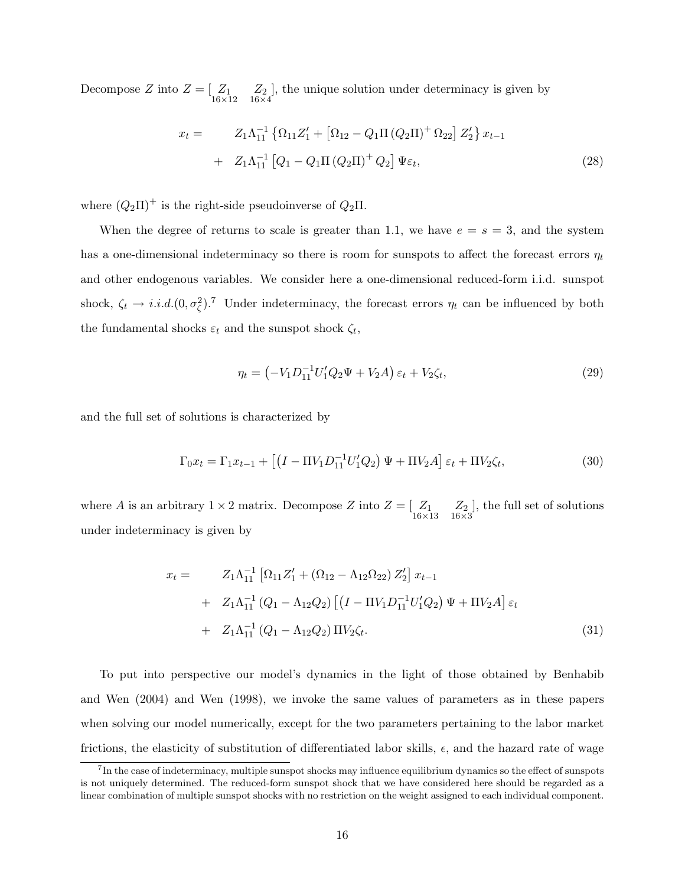Decompose Z into  $Z = \begin{bmatrix} Z_1 & Z_2 \ 16 \times 12 & 16 \times 4 \end{bmatrix}$ , the unique solution under determinacy is given by

$$
x_{t} = Z_{1}\Lambda_{11}^{-1} \left\{ \Omega_{11} Z_{1}^{\prime} + \left[ \Omega_{12} - Q_{1}\Pi \left( Q_{2}\Pi \right)^{+} \Omega_{22} \right] Z_{2}^{\prime} \right\} x_{t-1} + Z_{1}\Lambda_{11}^{-1} \left[ Q_{1} - Q_{1}\Pi \left( Q_{2}\Pi \right)^{+} Q_{2} \right] \Psi \varepsilon_{t}, \tag{28}
$$

where  $(Q_2\Pi)^+$  is the right-side pseudoinverse of  $Q_2\Pi$ .

When the degree of returns to scale is greater than 1.1, we have  $e = s = 3$ , and the system has a one-dimensional indeterminacy so there is room for sunspots to affect the forecast errors  $\eta_t$ and other endogenous variables. We consider here a one-dimensional reduced-form i.i.d. sunspot shock,  $\zeta_t \to i.i.d. (0, \sigma_{\zeta}^2)^{7}$  Under indeterminacy, the forecast errors  $\eta_t$  can be influenced by both the fundamental shocks  $\varepsilon_t$  and the sunspot shock  $\zeta_t$ ,

$$
\eta_t = \left(-V_1 D_{11}^{-1} U_1' Q_2 \Psi + V_2 A\right) \varepsilon_t + V_2 \zeta_t,\tag{29}
$$

and the full set of solutions is characterized by

$$
\Gamma_0 x_t = \Gamma_1 x_{t-1} + \left[ \left( I - \Pi V_1 D_{11}^{-1} U_1' Q_2 \right) \Psi + \Pi V_2 A \right] \varepsilon_t + \Pi V_2 \zeta_t, \tag{30}
$$

where A is an arbitrary  $1 \times 2$  matrix. Decompose Z into  $Z = \begin{bmatrix} Z_1 & Z_2 \ 16 \times 13 & 16 \times 3 \end{bmatrix}$ , the full set of solutions under indeterminacy is given by

$$
x_{t} = Z_{1}\Lambda_{11}^{-1} \left[ \Omega_{11} Z_{1}^{\prime} + (\Omega_{12} - \Lambda_{12}\Omega_{22}) Z_{2}^{\prime} \right] x_{t-1}
$$
  
+ 
$$
Z_{1}\Lambda_{11}^{-1} (Q_{1} - \Lambda_{12} Q_{2}) \left[ \left( I - \Pi V_{1} D_{11}^{-1} U_{1}^{\prime} Q_{2} \right) \Psi + \Pi V_{2} A \right] \varepsilon_{t}
$$
  
+ 
$$
Z_{1}\Lambda_{11}^{-1} (Q_{1} - \Lambda_{12} Q_{2}) \Pi V_{2} \zeta_{t}.
$$
 (31)

To put into perspective our model's dynamics in the light of those obtained by Benhabib and Wen (2004) and Wen (1998), we invoke the same values of parameters as in these papers when solving our model numerically, except for the two parameters pertaining to the labor market frictions, the elasticity of substitution of differentiated labor skills,  $\epsilon$ , and the hazard rate of wage

<sup>&</sup>lt;sup>7</sup>In the case of indeterminacy, multiple sunspot shocks may influence equilibrium dynamics so the effect of sunspots is not uniquely determined. The reduced-form sunspot shock that we have considered here should be regarded as a linear combination of multiple sunspot shocks with no restriction on the weight assigned to each individual component.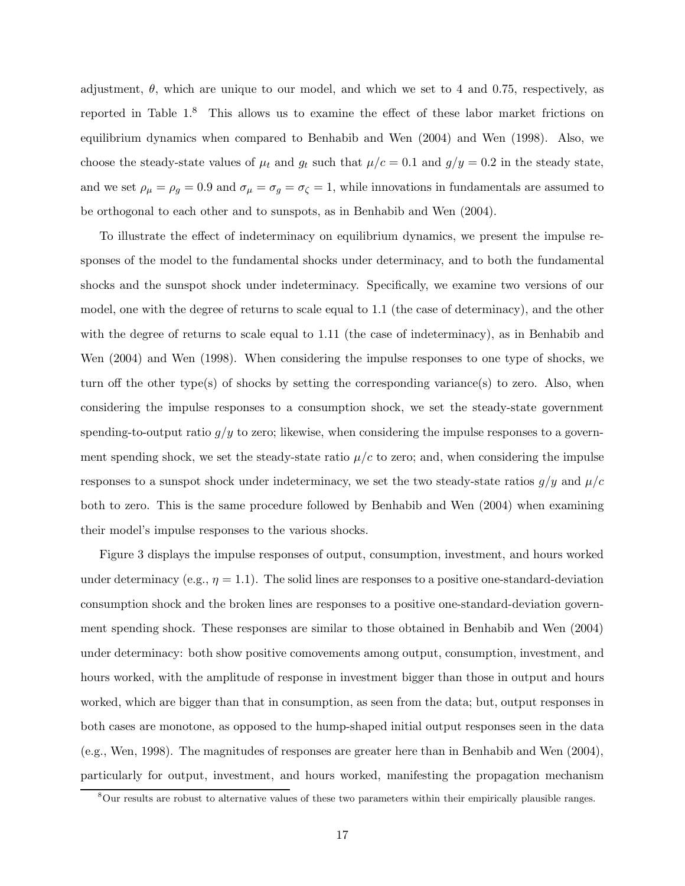adjustment,  $\theta$ , which are unique to our model, and which we set to 4 and 0.75, respectively, as reported in Table 1.<sup>8</sup> This allows us to examine the effect of these labor market frictions on equilibrium dynamics when compared to Benhabib and Wen (2004) and Wen (1998). Also, we choose the steady-state values of  $\mu_t$  and  $g_t$  such that  $\mu/c = 0.1$  and  $g/y = 0.2$  in the steady state, and we set  $\rho_{\mu} = \rho_g = 0.9$  and  $\sigma_{\mu} = \sigma_g = \sigma_{\zeta} = 1$ , while innovations in fundamentals are assumed to be orthogonal to each other and to sunspots, as in Benhabib and Wen (2004).

To illustrate the effect of indeterminacy on equilibrium dynamics, we present the impulse responses of the model to the fundamental shocks under determinacy, and to both the fundamental shocks and the sunspot shock under indeterminacy. Specifically, we examine two versions of our model, one with the degree of returns to scale equal to 1.1 (the case of determinacy), and the other with the degree of returns to scale equal to 1.11 (the case of indeterminacy), as in Benhabib and Wen (2004) and Wen (1998). When considering the impulse responses to one type of shocks, we turn off the other type(s) of shocks by setting the corresponding variance(s) to zero. Also, when considering the impulse responses to a consumption shock, we set the steady-state government spending-to-output ratio  $g/y$  to zero; likewise, when considering the impulse responses to a government spending shock, we set the steady-state ratio  $\mu/c$  to zero; and, when considering the impulse responses to a sunspot shock under indeterminacy, we set the two steady-state ratios  $g/y$  and  $\mu/c$ both to zero. This is the same procedure followed by Benhabib and Wen (2004) when examining their model's impulse responses to the various shocks.

Figure 3 displays the impulse responses of output, consumption, investment, and hours worked under determinacy (e.g.,  $\eta = 1.1$ ). The solid lines are responses to a positive one-standard-deviation consumption shock and the broken lines are responses to a positive one-standard-deviation government spending shock. These responses are similar to those obtained in Benhabib and Wen (2004) under determinacy: both show positive comovements among output, consumption, investment, and hours worked, with the amplitude of response in investment bigger than those in output and hours worked, which are bigger than that in consumption, as seen from the data; but, output responses in both cases are monotone, as opposed to the hump-shaped initial output responses seen in the data (e.g., Wen, 1998). The magnitudes of responses are greater here than in Benhabib and Wen (2004), particularly for output, investment, and hours worked, manifesting the propagation mechanism

<sup>&</sup>lt;sup>8</sup>Our results are robust to alternative values of these two parameters within their empirically plausible ranges.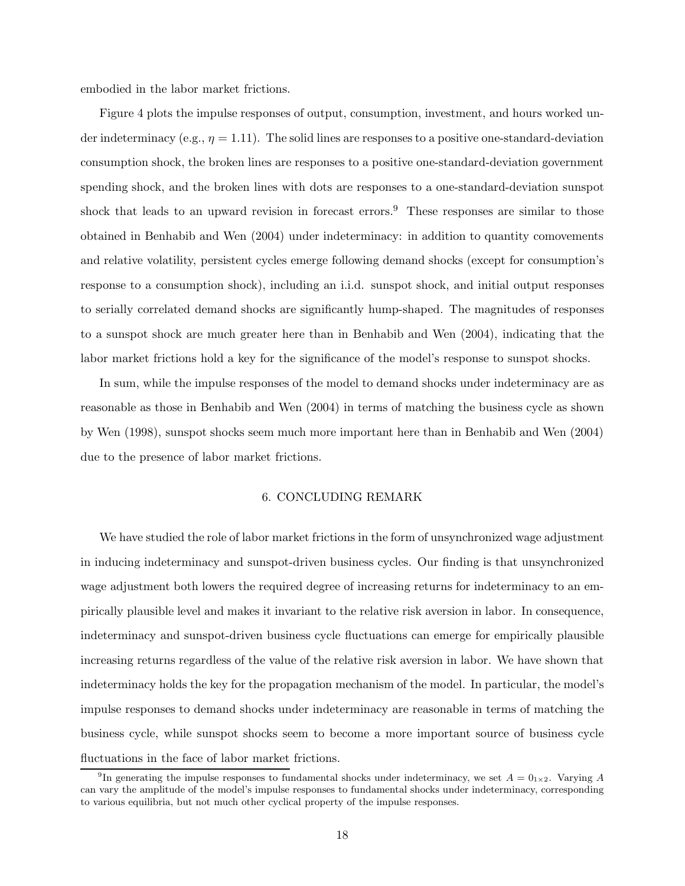embodied in the labor market frictions.

Figure 4 plots the impulse responses of output, consumption, investment, and hours worked under indeterminacy (e.g.,  $\eta = 1.11$ ). The solid lines are responses to a positive one-standard-deviation consumption shock, the broken lines are responses to a positive one-standard-deviation government spending shock, and the broken lines with dots are responses to a one-standard-deviation sunspot shock that leads to an upward revision in forecast errors.<sup>9</sup> These responses are similar to those obtained in Benhabib and Wen (2004) under indeterminacy: in addition to quantity comovements and relative volatility, persistent cycles emerge following demand shocks (except for consumption's response to a consumption shock), including an i.i.d. sunspot shock, and initial output responses to serially correlated demand shocks are significantly hump-shaped. The magnitudes of responses to a sunspot shock are much greater here than in Benhabib and Wen (2004), indicating that the labor market frictions hold a key for the significance of the model's response to sunspot shocks.

In sum, while the impulse responses of the model to demand shocks under indeterminacy are as reasonable as those in Benhabib and Wen (2004) in terms of matching the business cycle as shown by Wen (1998), sunspot shocks seem much more important here than in Benhabib and Wen (2004) due to the presence of labor market frictions.

## 6. CONCLUDING REMARK

We have studied the role of labor market frictions in the form of unsynchronized wage adjustment in inducing indeterminacy and sunspot-driven business cycles. Our finding is that unsynchronized wage adjustment both lowers the required degree of increasing returns for indeterminacy to an empirically plausible level and makes it invariant to the relative risk aversion in labor. In consequence, indeterminacy and sunspot-driven business cycle fluctuations can emerge for empirically plausible increasing returns regardless of the value of the relative risk aversion in labor. We have shown that indeterminacy holds the key for the propagation mechanism of the model. In particular, the model's impulse responses to demand shocks under indeterminacy are reasonable in terms of matching the business cycle, while sunspot shocks seem to become a more important source of business cycle fluctuations in the face of labor market frictions.

<sup>&</sup>lt;sup>9</sup>In generating the impulse responses to fundamental shocks under indeterminacy, we set  $A = 0_{1 \times 2}$ . Varying A can vary the amplitude of the model's impulse responses to fundamental shocks under indeterminacy, corresponding to various equilibria, but not much other cyclical property of the impulse responses.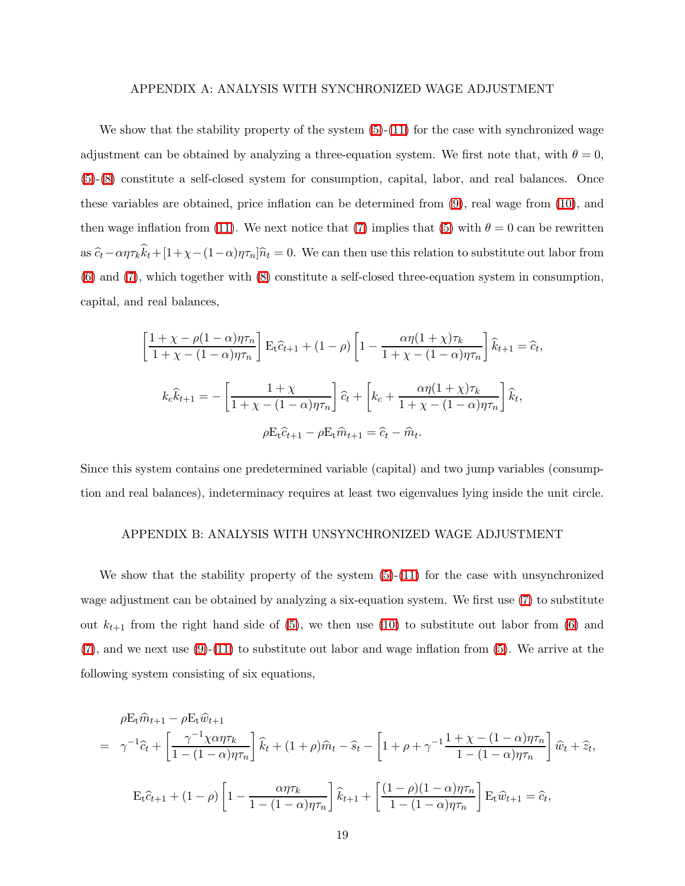#### APPENDIX A: ANALYSIS WITH SYNCHRONIZED WAGE ADJUSTMENT

We show that the stability property of the system  $(5)-(11)$  $(5)-(11)$  for the case with synchronized wage adjustment can be obtained by analyzing a three-equation system. We first note that, with  $\theta = 0$ , [\(5\)](#page-5-0)-[\(8\)](#page-5-3) constitute a self-closed system for consumption, capital, labor, and real balances. Once these variables are obtained, price inflation can be determined from [\(9\)](#page-5-4), real wage from [\(10\)](#page-5-5), and then wage inflation from [\(11\)](#page-5-1). We next notice that [\(7\)](#page-5-6) implies that [\(5\)](#page-5-0) with  $\theta = 0$  can be rewritten as  $\hat{c}_t - \alpha \eta \tau_k k_t + [1 + \chi - (1 - \alpha) \eta \tau_n] \hat{n}_t = 0$ . We can then use this relation to substitute out labor from [\(6\)](#page-5-2) and [\(7\)](#page-5-6), which together with [\(8\)](#page-5-3) constitute a self-closed three-equation system in consumption, capital, and real balances,

$$
\left[\frac{1+\chi-\rho(1-\alpha)\eta\tau_n}{1+\chi-(1-\alpha)\eta\tau_n}\right] \mathbf{E}_t \hat{c}_{t+1} + (1-\rho) \left[1 - \frac{\alpha\eta(1+\chi)\tau_k}{1+\chi-(1-\alpha)\eta\tau_n}\right] \hat{k}_{t+1} = \hat{c}_t,
$$
  

$$
k_c \hat{k}_{t+1} = -\left[\frac{1+\chi}{1+\chi-(1-\alpha)\eta\tau_n}\right] \hat{c}_t + \left[k_c + \frac{\alpha\eta(1+\chi)\tau_k}{1+\chi-(1-\alpha)\eta\tau_n}\right] \hat{k}_t,
$$
  

$$
\rho \mathbf{E}_t \hat{c}_{t+1} - \rho \mathbf{E}_t \hat{m}_{t+1} = \hat{c}_t - \hat{m}_t.
$$

Since this system contains one predetermined variable (capital) and two jump variables (consumption and real balances), indeterminacy requires at least two eigenvalues lying inside the unit circle.

#### APPENDIX B: ANALYSIS WITH UNSYNCHRONIZED WAGE ADJUSTMENT

We show that the stability property of the system  $(5)-(11)$  $(5)-(11)$  for the case with unsynchronized wage adjustment can be obtained by analyzing a six-equation system. We first use [\(7\)](#page-5-6) to substitute out  $k_{t+1}$  from the right hand side of [\(5\)](#page-5-0), we then use [\(10\)](#page-5-5) to substitute out labor from [\(6\)](#page-5-2) and  $(7)$ , and we next use  $(9)-(11)$  $(9)-(11)$  to substitute out labor and wage inflation from  $(5)$ . We arrive at the following system consisting of six equations,

$$
\rho E_t \hat{m}_{t+1} - \rho E_t \hat{w}_{t+1}
$$
\n
$$
= \gamma^{-1} \hat{c}_t + \left[ \frac{\gamma^{-1} \chi \alpha \eta \tau_k}{1 - (1 - \alpha) \eta \tau_n} \right] \hat{k}_t + (1 + \rho) \hat{m}_t - \hat{s}_t - \left[ 1 + \rho + \gamma^{-1} \frac{1 + \chi - (1 - \alpha) \eta \tau_n}{1 - (1 - \alpha) \eta \tau_n} \right] \hat{w}_t + \hat{z}_t,
$$
\n
$$
E_t \hat{c}_{t+1} + (1 - \rho) \left[ 1 - \frac{\alpha \eta \tau_k}{1 - (1 - \alpha) \eta \tau_n} \right] \hat{k}_{t+1} + \left[ \frac{(1 - \rho)(1 - \alpha) \eta \tau_n}{1 - (1 - \alpha) \eta \tau_n} \right] E_t \hat{w}_{t+1} = \hat{c}_t,
$$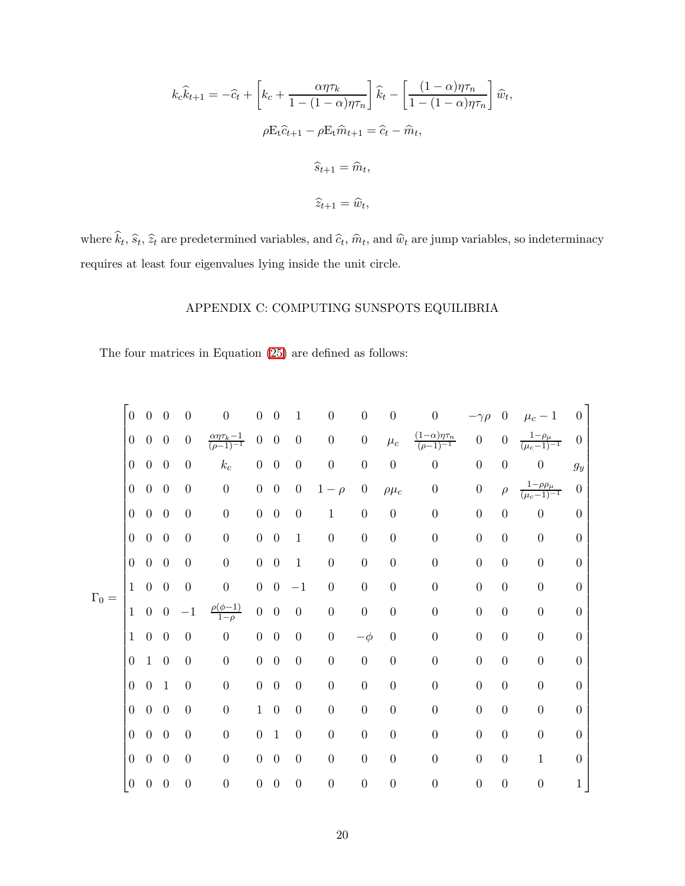$$
k_c \hat{k}_{t+1} = -\hat{c}_t + \left[k_c + \frac{\alpha \eta \tau_k}{1 - (1 - \alpha)\eta \tau_n}\right] \hat{k}_t - \left[\frac{(1 - \alpha)\eta \tau_n}{1 - (1 - \alpha)\eta \tau_n}\right] \hat{w}_t,
$$
  

$$
\rho E_t \hat{c}_{t+1} - \rho E_t \hat{m}_{t+1} = \hat{c}_t - \hat{m}_t,
$$
  

$$
\hat{s}_{t+1} = \hat{m}_t,
$$
  

$$
\hat{z}_{t+1} = \hat{w}_t,
$$

where  $k_t$ ,  $\hat{s}_t$ ,  $\hat{z}_t$  are predetermined variables, and  $\hat{c}_t$ ,  $\hat{m}_t$ , and  $\hat{w}_t$  are jump variables, so indeterminacy requires at least four eigenvalues lying inside the unit circle.

# APPENDIX C: COMPUTING SUNSPOTS EQUILIBRIA

The four matrices in Equation [\(25\)](#page-14-0) are defined as follows:

Γ<sup>0</sup> = 0 0 0 0 0 0 0 1 0 0 0 0 −γρ 0 µ<sup>c</sup> − 1 0 0 0 0 0 αητk−<sup>1</sup> (ρ−1)−<sup>1</sup> 0 0 0 0 0 µ<sup>c</sup> (1−α)ητ<sup>n</sup> (ρ−1)−<sup>1</sup> 0 0 <sup>1</sup>−ρ<sup>µ</sup> (µc−1)−<sup>1</sup> 0 0 0 0 0 k<sup>c</sup> 0 0 0 0 0 0 0 0 0 0 g<sup>y</sup> 0 0 0 0 0 0 0 0 1 − ρ 0 ρµ<sup>c</sup> 0 0 ρ 1−ρρ<sup>µ</sup> (µc−1)−<sup>1</sup> 0 0 0 0 0 0 0 0 0 1 0 0 0 0 0 0 0 0 0 0 0 0 0 0 1 0 0 0 0 0 0 0 0 0 0 0 0 0 0 0 1 0 0 0 0 0 0 0 0 1 0 0 0 0 0 0 −1 0 0 0 0 0 0 0 0 1 0 0 −1 ρ(φ−1) 1−ρ 0 0 0 0 0 0 0 0 0 0 0 1 0 0 0 0 0 0 0 0 −φ 0 0 0 0 0 0 0 1 0 0 0 0 0 0 0 0 0 0 0 0 0 0 0 0 1 0 0 0 0 0 0 0 0 0 0 0 0 0 0 0 0 0 0 1 0 0 0 0 0 0 0 0 0 0 0 0 0 0 0 0 1 0 0 0 0 0 0 0 0 0 0 0 0 0 0 0 0 0 0 0 0 0 0 0 1 0 0 0 0 0 0 0 0 0 0 0 0 0 0 0 0 1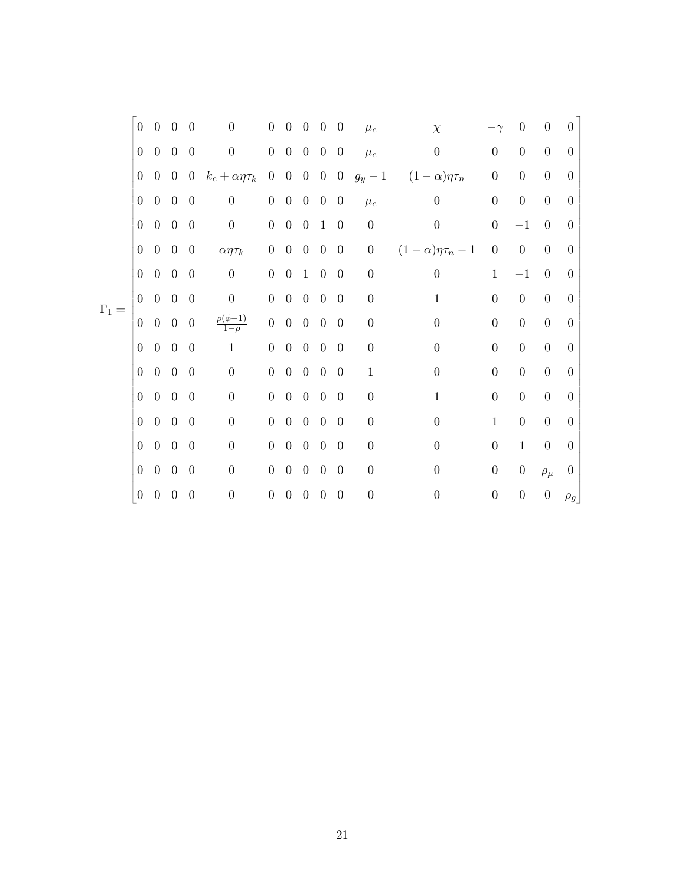|              | $\overline{0}$   | $\overline{0}$ | $\overline{0}$ | $\overline{0}$   | $\overline{0}$                | $\boldsymbol{0}$ | $\overline{0}$    | $\theta$       | $\boldsymbol{0}$ | $\theta$       | $\mu_c$          | $\chi$                   |                  | 0                | $\overline{0}$   | $\theta$         |
|--------------|------------------|----------------|----------------|------------------|-------------------------------|------------------|-------------------|----------------|------------------|----------------|------------------|--------------------------|------------------|------------------|------------------|------------------|
|              | $\boldsymbol{0}$ | $\overline{0}$ | $\overline{0}$ | $\overline{0}$   | $\boldsymbol{0}$              |                  | $0\quad 0\quad 0$ |                | $\overline{0}$   | $\overline{0}$ | $\mu_c$          | $\boldsymbol{0}$         | $\boldsymbol{0}$ | $\boldsymbol{0}$ | $\overline{0}$   | $\overline{0}$   |
|              | $\overline{0}$   | $\overline{0}$ | $\overline{0}$ | $\overline{0}$   | $k_c + \alpha \eta \tau_k$    |                  | $0\quad 0\quad 0$ |                | $0\quad 0$       |                | $g_y-1$          | $(1-\alpha)\eta\tau_n$   | $\boldsymbol{0}$ | $\boldsymbol{0}$ | $\boldsymbol{0}$ | $\theta$         |
|              | $\boldsymbol{0}$ | $\overline{0}$ | $\overline{0}$ | $\theta$         | $\boldsymbol{0}$              | $\boldsymbol{0}$ | $0 \quad 0$       |                | $\boldsymbol{0}$ | $\overline{0}$ | $\mu_c$          | $\overline{0}$           | $\boldsymbol{0}$ | $\boldsymbol{0}$ | $\theta$         | $\theta$         |
|              | $\overline{0}$   | $\overline{0}$ | $\overline{0}$ | $\overline{0}$   | $\boldsymbol{0}$              |                  | $0\quad 0\quad 0$ |                | $\mathbf{1}$     | $\overline{0}$ | $\boldsymbol{0}$ | $\boldsymbol{0}$         | $\boldsymbol{0}$ | $-1$             | $\overline{0}$   | $\theta$         |
|              | $\boldsymbol{0}$ | $\theta$       | $0\quad 0$     |                  | $\alpha\eta\tau_k$            |                  | $0\quad 0\quad 0$ |                | $\overline{0}$   | $\overline{0}$ | $\boldsymbol{0}$ | $(1-\alpha)\eta\tau_n-1$ | $\boldsymbol{0}$ | $\boldsymbol{0}$ | $\boldsymbol{0}$ | $\theta$         |
|              | $\boldsymbol{0}$ | $\overline{0}$ | $\overline{0}$ | $\theta$         | $\boldsymbol{0}$              | $\overline{0}$   | $\boldsymbol{0}$  | $\mathbf{1}$   | $\theta$         | $\overline{0}$ | $\boldsymbol{0}$ | $\boldsymbol{0}$         | $\mathbf{1}$     | $-1$             | $\overline{0}$   | $\theta$         |
| $\Gamma_1 =$ | $\overline{0}$   | $\overline{0}$ | $\overline{0}$ | $\overline{0}$   | $\boldsymbol{0}$              |                  | $0\quad 0\quad 0$ |                | $\boldsymbol{0}$ | $\overline{0}$ | $\boldsymbol{0}$ | $\mathbf{1}$             | $\boldsymbol{0}$ | $\boldsymbol{0}$ | $\boldsymbol{0}$ | $\overline{0}$   |
|              | $\overline{0}$   | $\overline{0}$ | $0\quad 0$     |                  | $\frac{\rho(\phi-1)}{1-\rho}$ |                  | $0\quad 0\quad 0$ |                | $\overline{0}$   | $\overline{0}$ | $\boldsymbol{0}$ | $\boldsymbol{0}$         | $\boldsymbol{0}$ | $\boldsymbol{0}$ | $\boldsymbol{0}$ | $\overline{0}$   |
|              | $\boldsymbol{0}$ | $\overline{0}$ | $\overline{0}$ | $\overline{0}$   | $\mathbf{1}$                  | $\overline{0}$   | $\overline{0}$    | $\overline{0}$ | $\theta$         | $\overline{0}$ | $\boldsymbol{0}$ | $\boldsymbol{0}$         | $\overline{0}$   | $\boldsymbol{0}$ | $\overline{0}$   | $\theta$         |
|              | $\overline{0}$   | $\overline{0}$ | $\overline{0}$ | $\overline{0}$   | $\boldsymbol{0}$              | $\boldsymbol{0}$ | $0 \quad 0$       |                | $\theta$         | $\overline{0}$ | $\mathbf{1}$     | $\boldsymbol{0}$         | $\boldsymbol{0}$ | $\boldsymbol{0}$ | $\boldsymbol{0}$ | $\theta$         |
|              | $\overline{0}$   | $\overline{0}$ | $0\quad 0$     |                  | $\boldsymbol{0}$              | $\overline{0}$   | $0\quad 0$        |                | $\overline{0}$   | $\overline{0}$ | $\boldsymbol{0}$ | $\mathbf 1$              | $\boldsymbol{0}$ | $\boldsymbol{0}$ | $\overline{0}$   | $\overline{0}$   |
|              | $\overline{0}$   | $\overline{0}$ | $\overline{0}$ | $\overline{0}$   | $\boldsymbol{0}$              | $\overline{0}$   | $\overline{0}$    | $\overline{0}$ | $\boldsymbol{0}$ | $\overline{0}$ | $\boldsymbol{0}$ | $\boldsymbol{0}$         | $\mathbf{1}$     | $\boldsymbol{0}$ | $\overline{0}$   | $\theta$         |
|              | $\overline{0}$   | $\theta$       | $\overline{0}$ | $\overline{0}$   | $\boldsymbol{0}$              | $\boldsymbol{0}$ | $0 \quad 0$       |                | $\boldsymbol{0}$ | $\overline{0}$ | $\boldsymbol{0}$ | $\boldsymbol{0}$         | $\boldsymbol{0}$ | $1\,$            | $\boldsymbol{0}$ | $\boldsymbol{0}$ |
|              | $\overline{0}$   | $\overline{0}$ | $\overline{0}$ | $\overline{0}$   | $\theta$                      | $\overline{0}$   | $0\quad 0$        |                | $\boldsymbol{0}$ | $\overline{0}$ | $\boldsymbol{0}$ | $\boldsymbol{0}$         | $\boldsymbol{0}$ | $\boldsymbol{0}$ | $\rho_\mu$       | $\theta$         |
|              | $\overline{0}$   | $\overline{0}$ | $\overline{0}$ | $\boldsymbol{0}$ | $\boldsymbol{0}$              | $\boldsymbol{0}$ | $\overline{0}$    | $\overline{0}$ | $\theta$         | $\theta$       | $\boldsymbol{0}$ | $\boldsymbol{0}$         | $\boldsymbol{0}$ | $\boldsymbol{0}$ | $\boldsymbol{0}$ | $\rho_g$         |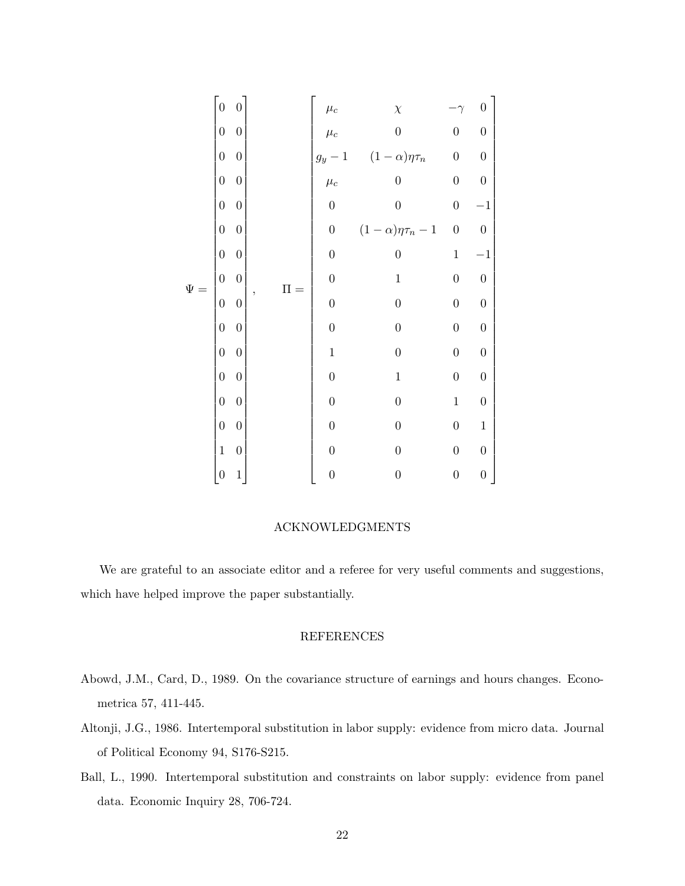|          | $\overline{0}$   | $\overline{0}$   |                          |                    | $\chi$                   |                  | $\boldsymbol{0}$ |  |
|----------|------------------|------------------|--------------------------|--------------------|--------------------------|------------------|------------------|--|
|          | $\overline{0}$   | $\boldsymbol{0}$ |                          | $\mu_c$<br>$\mu_c$ | $\overline{0}$           | $\boldsymbol{0}$ | $\boldsymbol{0}$ |  |
| $\Psi =$ | $\overline{0}$   | $\boldsymbol{0}$ |                          | $g_y-1$            | $(1-\alpha)\eta\tau_n$   | $\boldsymbol{0}$ | $\boldsymbol{0}$ |  |
|          | $\overline{0}$   | $\boldsymbol{0}$ |                          | $\mu_c$            | $\boldsymbol{0}$         | $\boldsymbol{0}$ | $\boldsymbol{0}$ |  |
|          | $\overline{0}$   | $\boldsymbol{0}$ |                          | $\boldsymbol{0}$   | $\boldsymbol{0}$         | $\boldsymbol{0}$ | $^{-1}$          |  |
|          | $\overline{0}$   | $\boldsymbol{0}$ |                          | $\boldsymbol{0}$   | $(1-\alpha)\eta\tau_n-1$ | $\boldsymbol{0}$ | $\boldsymbol{0}$ |  |
|          | $\overline{0}$   | $\boldsymbol{0}$ |                          | $\boldsymbol{0}$   | $\boldsymbol{0}$         | $\,1$            | $-1$             |  |
|          | $\overline{0}$   | $\overline{0}$   | $\Pi =$                  | $\overline{0}$     | $\mathbf{1}$             | $\boldsymbol{0}$ | $\boldsymbol{0}$ |  |
|          | $\boldsymbol{0}$ | $\boldsymbol{0}$ | $\overline{\phantom{a}}$ | $\overline{0}$     | $\boldsymbol{0}$         | $\boldsymbol{0}$ | $\boldsymbol{0}$ |  |
|          | $\overline{0}$   | $\overline{0}$   |                          | $\boldsymbol{0}$   | $\boldsymbol{0}$         | $\boldsymbol{0}$ | $\boldsymbol{0}$ |  |
|          | $\overline{0}$   | $\overline{0}$   |                          | $\mathbf{1}$       | $\boldsymbol{0}$         | $\boldsymbol{0}$ | $\boldsymbol{0}$ |  |
|          | $\overline{0}$   | $\boldsymbol{0}$ |                          | $\boldsymbol{0}$   | $\,1\,$                  | $\boldsymbol{0}$ | $\boldsymbol{0}$ |  |
|          | $\overline{0}$   | $\boldsymbol{0}$ |                          | $\boldsymbol{0}$   | $\boldsymbol{0}$         | $\mathbf{1}$     | $\boldsymbol{0}$ |  |
|          | $\overline{0}$   | $\boldsymbol{0}$ |                          | $\boldsymbol{0}$   | $\boldsymbol{0}$         | $\boldsymbol{0}$ | $\,1\,$          |  |
|          | $\mathbf{1}$     | $\boldsymbol{0}$ |                          | $\boldsymbol{0}$   | $\boldsymbol{0}$         | $\boldsymbol{0}$ | $\boldsymbol{0}$ |  |
|          | $\boldsymbol{0}$ | $\,1$            |                          | $\boldsymbol{0}$   | $\boldsymbol{0}$         | $\boldsymbol{0}$ | $\boldsymbol{0}$ |  |

## ACKNOWLEDGMENTS

We are grateful to an associate editor and a referee for very useful comments and suggestions, which have helped improve the paper substantially.

## REFERENCES

- Abowd, J.M., Card, D., 1989. On the covariance structure of earnings and hours changes. Econometrica 57, 411-445.
- Altonji, J.G., 1986. Intertemporal substitution in labor supply: evidence from micro data. Journal of Political Economy 94, S176-S215.
- Ball, L., 1990. Intertemporal substitution and constraints on labor supply: evidence from panel data. Economic Inquiry 28, 706-724.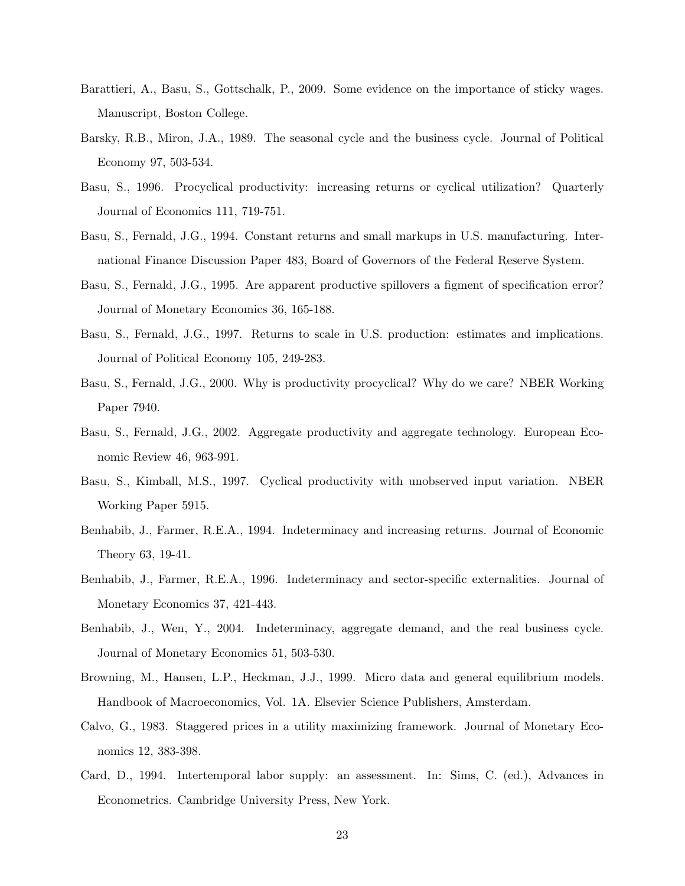- Barattieri, A., Basu, S., Gottschalk, P., 2009. Some evidence on the importance of sticky wages. Manuscript, Boston College.
- Barsky, R.B., Miron, J.A., 1989. The seasonal cycle and the business cycle. Journal of Political Economy 97, 503-534.
- Basu, S., 1996. Procyclical productivity: increasing returns or cyclical utilization? Quarterly Journal of Economics 111, 719-751.
- Basu, S., Fernald, J.G., 1994. Constant returns and small markups in U.S. manufacturing. International Finance Discussion Paper 483, Board of Governors of the Federal Reserve System.
- Basu, S., Fernald, J.G., 1995. Are apparent productive spillovers a figment of specification error? Journal of Monetary Economics 36, 165-188.
- Basu, S., Fernald, J.G., 1997. Returns to scale in U.S. production: estimates and implications. Journal of Political Economy 105, 249-283.
- Basu, S., Fernald, J.G., 2000. Why is productivity procyclical? Why do we care? NBER Working Paper 7940.
- Basu, S., Fernald, J.G., 2002. Aggregate productivity and aggregate technology. European Economic Review 46, 963-991.
- Basu, S., Kimball, M.S., 1997. Cyclical productivity with unobserved input variation. NBER Working Paper 5915.
- Benhabib, J., Farmer, R.E.A., 1994. Indeterminacy and increasing returns. Journal of Economic Theory 63, 19-41.
- Benhabib, J., Farmer, R.E.A., 1996. Indeterminacy and sector-specific externalities. Journal of Monetary Economics 37, 421-443.
- Benhabib, J., Wen, Y., 2004. Indeterminacy, aggregate demand, and the real business cycle. Journal of Monetary Economics 51, 503-530.
- Browning, M., Hansen, L.P., Heckman, J.J., 1999. Micro data and general equilibrium models. Handbook of Macroeconomics, Vol. 1A. Elsevier Science Publishers, Amsterdam.
- Calvo, G., 1983. Staggered prices in a utility maximizing framework. Journal of Monetary Economics 12, 383-398.
- Card, D., 1994. Intertemporal labor supply: an assessment. In: Sims, C. (ed.), Advances in Econometrics. Cambridge University Press, New York.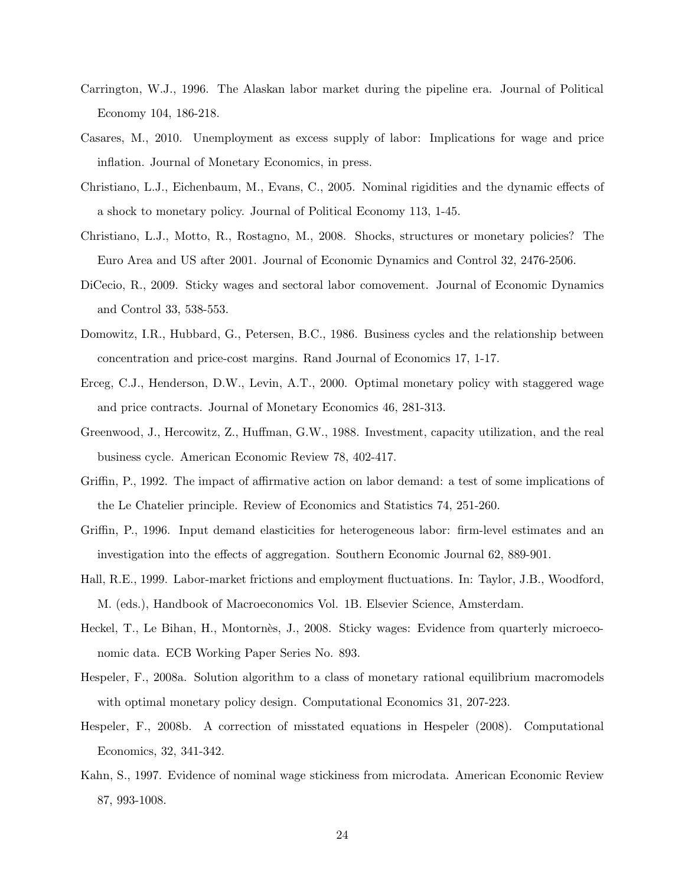- Carrington, W.J., 1996. The Alaskan labor market during the pipeline era. Journal of Political Economy 104, 186-218.
- Casares, M., 2010. Unemployment as excess supply of labor: Implications for wage and price inflation. Journal of Monetary Economics, in press.
- Christiano, L.J., Eichenbaum, M., Evans, C., 2005. Nominal rigidities and the dynamic effects of a shock to monetary policy. Journal of Political Economy 113, 1-45.
- Christiano, L.J., Motto, R., Rostagno, M., 2008. Shocks, structures or monetary policies? The Euro Area and US after 2001. Journal of Economic Dynamics and Control 32, 2476-2506.
- DiCecio, R., 2009. Sticky wages and sectoral labor comovement. Journal of Economic Dynamics and Control 33, 538-553.
- Domowitz, I.R., Hubbard, G., Petersen, B.C., 1986. Business cycles and the relationship between concentration and price-cost margins. Rand Journal of Economics 17, 1-17.
- Erceg, C.J., Henderson, D.W., Levin, A.T., 2000. Optimal monetary policy with staggered wage and price contracts. Journal of Monetary Economics 46, 281-313.
- Greenwood, J., Hercowitz, Z., Huffman, G.W., 1988. Investment, capacity utilization, and the real business cycle. American Economic Review 78, 402-417.
- Griffin, P., 1992. The impact of affirmative action on labor demand: a test of some implications of the Le Chatelier principle. Review of Economics and Statistics 74, 251-260.
- Griffin, P., 1996. Input demand elasticities for heterogeneous labor: firm-level estimates and an investigation into the effects of aggregation. Southern Economic Journal 62, 889-901.
- Hall, R.E., 1999. Labor-market frictions and employment fluctuations. In: Taylor, J.B., Woodford, M. (eds.), Handbook of Macroeconomics Vol. 1B. Elsevier Science, Amsterdam.
- Heckel, T., Le Bihan, H., Montornès, J., 2008. Sticky wages: Evidence from quarterly microeconomic data. ECB Working Paper Series No. 893.
- Hespeler, F., 2008a. Solution algorithm to a class of monetary rational equilibrium macromodels with optimal monetary policy design. Computational Economics 31, 207-223.
- Hespeler, F., 2008b. A correction of misstated equations in Hespeler (2008). Computational Economics, 32, 341-342.
- Kahn, S., 1997. Evidence of nominal wage stickiness from microdata. American Economic Review 87, 993-1008.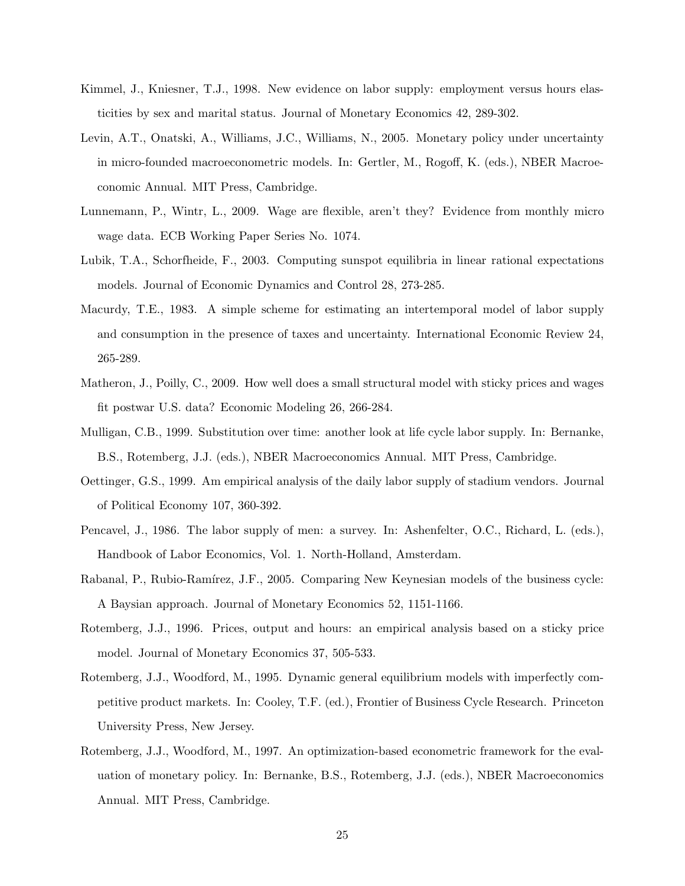- Kimmel, J., Kniesner, T.J., 1998. New evidence on labor supply: employment versus hours elasticities by sex and marital status. Journal of Monetary Economics 42, 289-302.
- Levin, A.T., Onatski, A., Williams, J.C., Williams, N., 2005. Monetary policy under uncertainty in micro-founded macroeconometric models. In: Gertler, M., Rogoff, K. (eds.), NBER Macroeconomic Annual. MIT Press, Cambridge.
- Lunnemann, P., Wintr, L., 2009. Wage are flexible, aren't they? Evidence from monthly micro wage data. ECB Working Paper Series No. 1074.
- Lubik, T.A., Schorfheide, F., 2003. Computing sunspot equilibria in linear rational expectations models. Journal of Economic Dynamics and Control 28, 273-285.
- Macurdy, T.E., 1983. A simple scheme for estimating an intertemporal model of labor supply and consumption in the presence of taxes and uncertainty. International Economic Review 24, 265-289.
- Matheron, J., Poilly, C., 2009. How well does a small structural model with sticky prices and wages fit postwar U.S. data? Economic Modeling 26, 266-284.
- Mulligan, C.B., 1999. Substitution over time: another look at life cycle labor supply. In: Bernanke, B.S., Rotemberg, J.J. (eds.), NBER Macroeconomics Annual. MIT Press, Cambridge.
- Oettinger, G.S., 1999. Am empirical analysis of the daily labor supply of stadium vendors. Journal of Political Economy 107, 360-392.
- Pencavel, J., 1986. The labor supply of men: a survey. In: Ashenfelter, O.C., Richard, L. (eds.), Handbook of Labor Economics, Vol. 1. North-Holland, Amsterdam.
- Rabanal, P., Rubio-Ramírez, J.F., 2005. Comparing New Keynesian models of the business cycle: A Baysian approach. Journal of Monetary Economics 52, 1151-1166.
- Rotemberg, J.J., 1996. Prices, output and hours: an empirical analysis based on a sticky price model. Journal of Monetary Economics 37, 505-533.
- Rotemberg, J.J., Woodford, M., 1995. Dynamic general equilibrium models with imperfectly competitive product markets. In: Cooley, T.F. (ed.), Frontier of Business Cycle Research. Princeton University Press, New Jersey.
- Rotemberg, J.J., Woodford, M., 1997. An optimization-based econometric framework for the evaluation of monetary policy. In: Bernanke, B.S., Rotemberg, J.J. (eds.), NBER Macroeconomics Annual. MIT Press, Cambridge.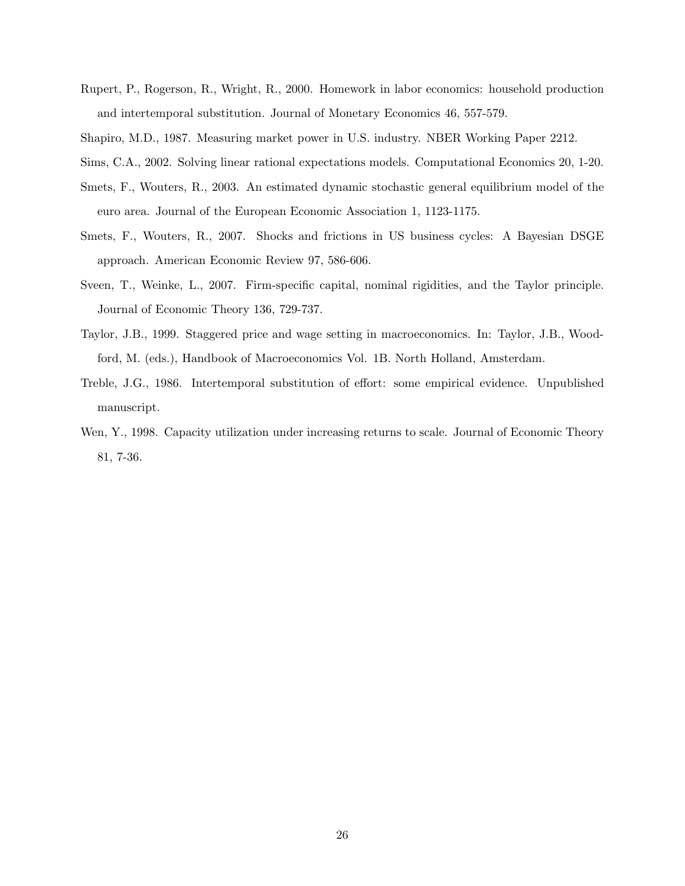- Rupert, P., Rogerson, R., Wright, R., 2000. Homework in labor economics: household production and intertemporal substitution. Journal of Monetary Economics 46, 557-579.
- Shapiro, M.D., 1987. Measuring market power in U.S. industry. NBER Working Paper 2212.
- Sims, C.A., 2002. Solving linear rational expectations models. Computational Economics 20, 1-20.
- Smets, F., Wouters, R., 2003. An estimated dynamic stochastic general equilibrium model of the euro area. Journal of the European Economic Association 1, 1123-1175.
- Smets, F., Wouters, R., 2007. Shocks and frictions in US business cycles: A Bayesian DSGE approach. American Economic Review 97, 586-606.
- Sveen, T., Weinke, L., 2007. Firm-specific capital, nominal rigidities, and the Taylor principle. Journal of Economic Theory 136, 729-737.
- Taylor, J.B., 1999. Staggered price and wage setting in macroeconomics. In: Taylor, J.B., Woodford, M. (eds.), Handbook of Macroeconomics Vol. 1B. North Holland, Amsterdam.
- Treble, J.G., 1986. Intertemporal substitution of effort: some empirical evidence. Unpublished manuscript.
- Wen, Y., 1998. Capacity utilization under increasing returns to scale. Journal of Economic Theory 81, 7-36.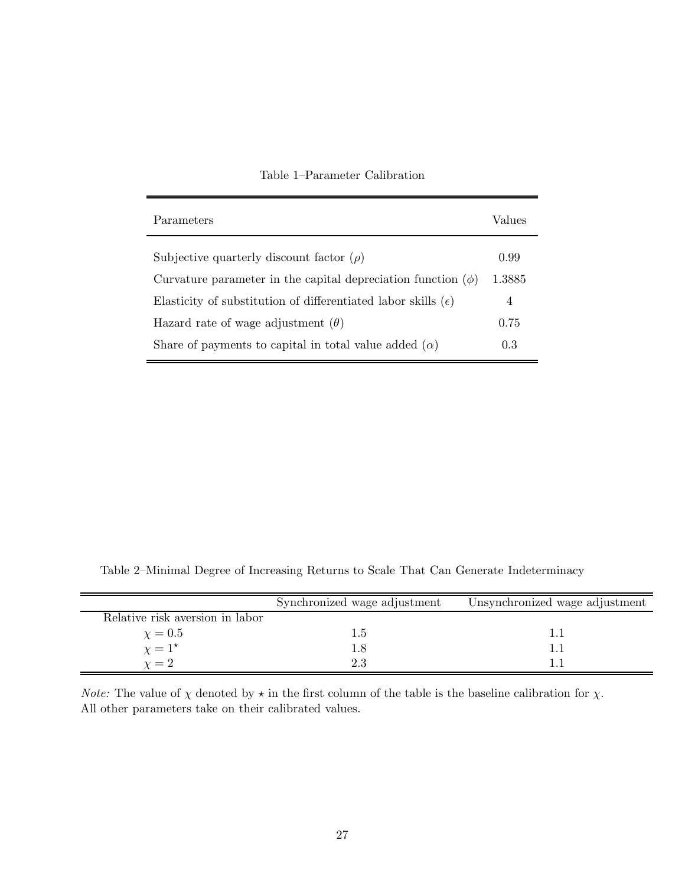| Parameters                                                             | Values |
|------------------------------------------------------------------------|--------|
| Subjective quarterly discount factor $(\rho)$                          | 0.99   |
| Curvature parameter in the capital depreciation function $(\phi)$      | 1.3885 |
| Elasticity of substitution of differentiated labor skills $(\epsilon)$ | 4      |
| Hazard rate of wage adjustment $(\theta)$                              | 0.75   |
| Share of payments to capital in total value added $(\alpha)$           | 0.3    |

# Table 1–Parameter Calibration

Table 2–Minimal Degree of Increasing Returns to Scale That Can Generate Indeterminacy

|                                 | Synchronized wage adjustment | Unsynchronized wage adjustment |
|---------------------------------|------------------------------|--------------------------------|
| Relative risk aversion in labor |                              |                                |
| $\chi=0.5$                      | 1.5                          |                                |
| $\chi = 1^*$                    | 1.8                          |                                |
| $\gamma=2$                      | 2.3                          |                                |

*Note:* The value of  $\chi$  denoted by  $\star$  in the first column of the table is the baseline calibration for  $\chi$ . All other parameters take on their calibrated values.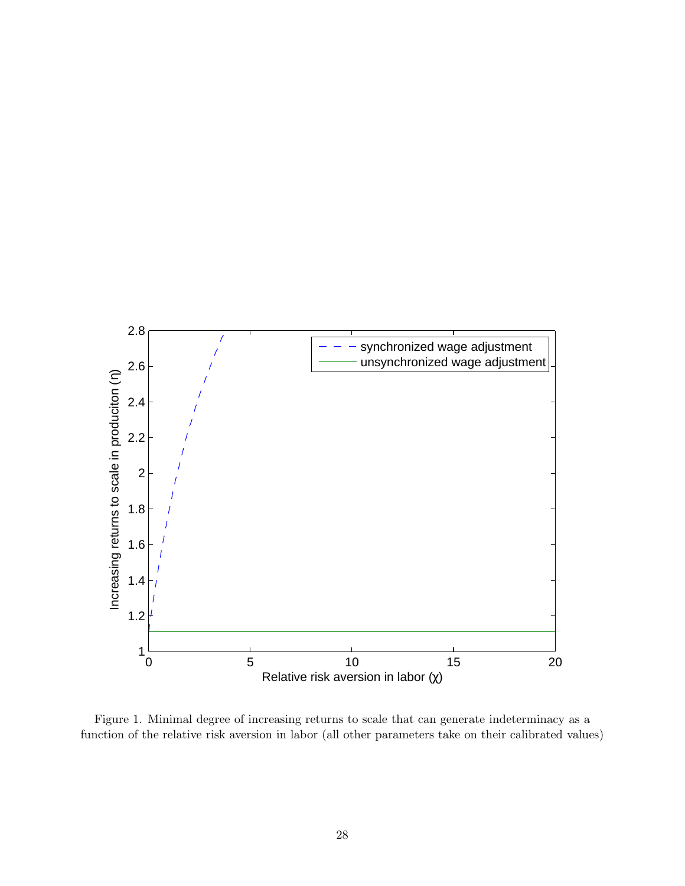

Figure 1. Minimal degree of increasing returns to scale that can generate indeterminacy as a function of the relative risk aversion in labor (all other parameters take on their calibrated values)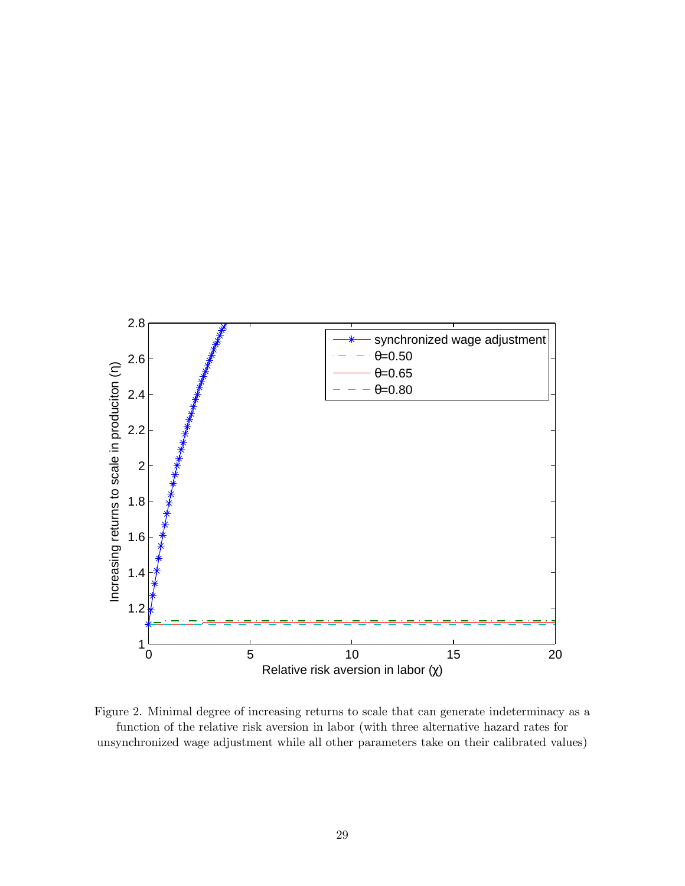

Figure 2. Minimal degree of increasing returns to scale that can generate indeterminacy as a function of the relative risk aversion in labor (with three alternative hazard rates for unsynchronized wage adjustment while all other parameters take on their calibrated values)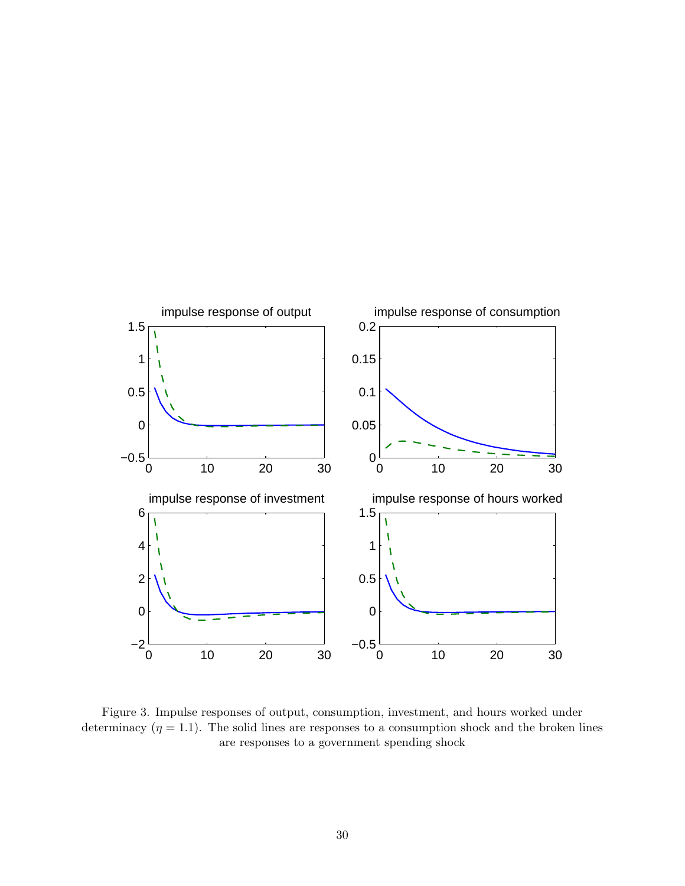

Figure 3. Impulse responses of output, consumption, investment, and hours worked under determinacy  $(\eta = 1.1)$ . The solid lines are responses to a consumption shock and the broken lines are responses to a government spending shock